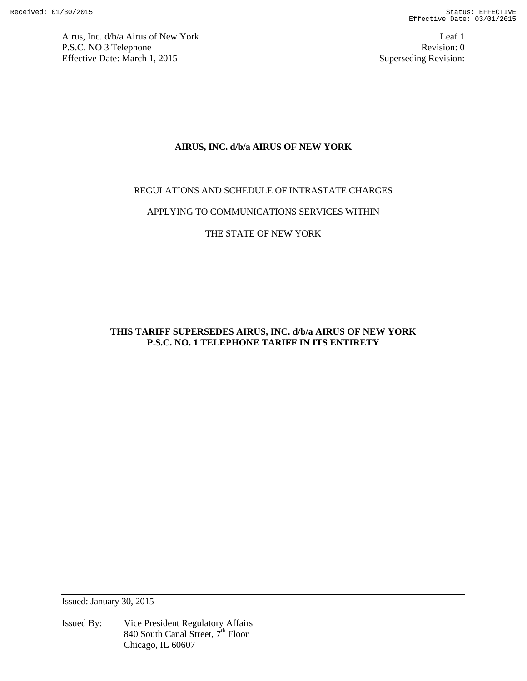Airus, Inc. d/b/a Airus of New York Leaf 1 P.S.C. NO 3 Telephone Revision: 0<br>Effective Date: March 1, 2015 Superseding Revision: 0 Effective Date: March 1, 2015

# **AIRUS, INC. d/b/a AIRUS OF NEW YORK**

# REGULATIONS AND SCHEDULE OF INTRASTATE CHARGES

# APPLYING TO COMMUNICATIONS SERVICES WITHIN

# THE STATE OF NEW YORK

# **THIS TARIFF SUPERSEDES AIRUS, INC. d/b/a AIRUS OF NEW YORK P.S.C. NO. 1 TELEPHONE TARIFF IN ITS ENTIRETY**

Issued: January 30, 2015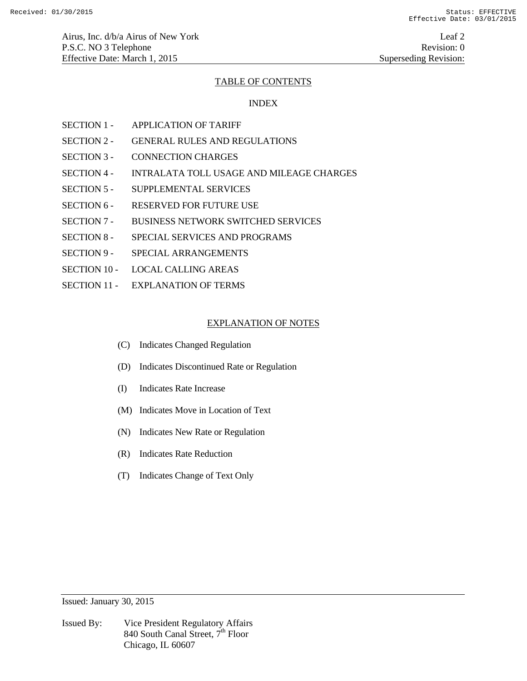## TABLE OF CONTENTS

## INDEX

- SECTION 1 APPLICATION OF TARIFF
- SECTION 2 GENERAL RULES AND REGULATIONS
- SECTION 3 CONNECTION CHARGES
- SECTION 4 INTRALATA TOLL USAGE AND MILEAGE CHARGES
- SECTION 5 SUPPLEMENTAL SERVICES
- SECTION 6 RESERVED FOR FUTURE USE
- SECTION 7 BUSINESS NETWORK SWITCHED SERVICES
- SECTION 8 SPECIAL SERVICES AND PROGRAMS
- SECTION 9 SPECIAL ARRANGEMENTS
- SECTION 10 LOCAL CALLING AREAS
- SECTION 11 EXPLANATION OF TERMS

## EXPLANATION OF NOTES

- (C) Indicates Changed Regulation
- (D) Indicates Discontinued Rate or Regulation
- (I) Indicates Rate Increase
- (M) Indicates Move in Location of Text
- (N) Indicates New Rate or Regulation
- (R) Indicates Rate Reduction
- (T) Indicates Change of Text Only

Issued: January 30, 2015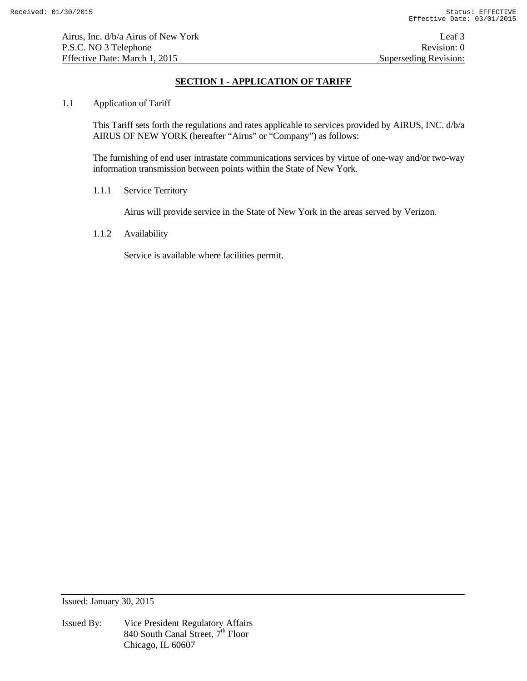# **SECTION 1 - APPLICATION OF TARIFF**

## 1.1 Application of Tariff

This Tariff sets forth the regulations and rates applicable to services provided by AIRUS, INC. d/b/a AIRUS OF NEW YORK (hereafter "Airus" or "Company") as follows:

The furnishing of end user intrastate communications services by virtue of one-way and/or two-way information transmission between points within the State of New York.

# 1.1.1 Service Territory

Airus will provide service in the State of New York in the areas served by Verizon.

# 1.1.2 Availability

Service is available where facilities permit.

Issued: January 30, 2015

Issued By: Vice President Regulatory Affairs 840 South Canal Street,  $7^{\text{th}}$  Floor Chicago, IL 60607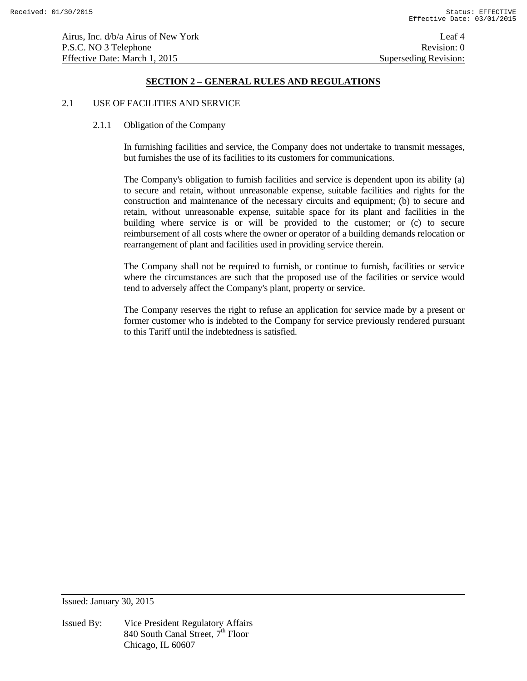## 2.1 USE OF FACILITIES AND SERVICE

#### 2.1.1 Obligation of the Company

In furnishing facilities and service, the Company does not undertake to transmit messages, but furnishes the use of its facilities to its customers for communications.

The Company's obligation to furnish facilities and service is dependent upon its ability (a) to secure and retain, without unreasonable expense, suitable facilities and rights for the construction and maintenance of the necessary circuits and equipment; (b) to secure and retain, without unreasonable expense, suitable space for its plant and facilities in the building where service is or will be provided to the customer; or (c) to secure reimbursement of all costs where the owner or operator of a building demands relocation or rearrangement of plant and facilities used in providing service therein.

The Company shall not be required to furnish, or continue to furnish, facilities or service where the circumstances are such that the proposed use of the facilities or service would tend to adversely affect the Company's plant, property or service.

The Company reserves the right to refuse an application for service made by a present or former customer who is indebted to the Company for service previously rendered pursuant to this Tariff until the indebtedness is satisfied.

Issued: January 30, 2015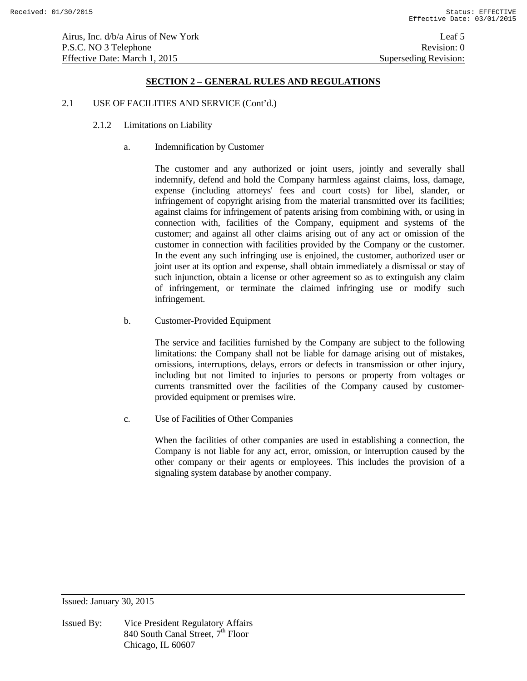Airus, Inc. d/b/a Airus of New York Leaf 5 P.S.C. NO 3 Telephone Revision: 0 Effective Date: March 1, 2015 Superseding Revision:

# **SECTION 2 – GENERAL RULES AND REGULATIONS**

#### 2.1 USE OF FACILITIES AND SERVICE (Cont'd.)

- 2.1.2 Limitations on Liability
	- a. Indemnification by Customer

 The customer and any authorized or joint users, jointly and severally shall indemnify, defend and hold the Company harmless against claims, loss, damage, expense (including attorneys' fees and court costs) for libel, slander, or infringement of copyright arising from the material transmitted over its facilities; against claims for infringement of patents arising from combining with, or using in connection with, facilities of the Company, equipment and systems of the customer; and against all other claims arising out of any act or omission of the customer in connection with facilities provided by the Company or the customer. In the event any such infringing use is enjoined, the customer, authorized user or joint user at its option and expense, shall obtain immediately a dismissal or stay of such injunction, obtain a license or other agreement so as to extinguish any claim of infringement, or terminate the claimed infringing use or modify such infringement.

b. Customer-Provided Equipment

 The service and facilities furnished by the Company are subject to the following limitations: the Company shall not be liable for damage arising out of mistakes, omissions, interruptions, delays, errors or defects in transmission or other injury, including but not limited to injuries to persons or property from voltages or currents transmitted over the facilities of the Company caused by customerprovided equipment or premises wire.

c. Use of Facilities of Other Companies

 When the facilities of other companies are used in establishing a connection, the Company is not liable for any act, error, omission, or interruption caused by the other company or their agents or employees. This includes the provision of a signaling system database by another company.

Issued: January 30, 2015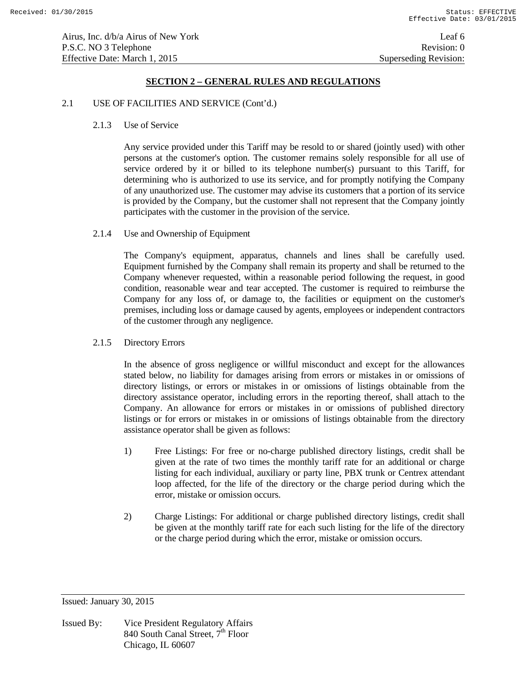### 2.1 USE OF FACILITIES AND SERVICE (Cont'd.)

## 2.1.3 Use of Service

 Any service provided under this Tariff may be resold to or shared (jointly used) with other persons at the customer's option. The customer remains solely responsible for all use of service ordered by it or billed to its telephone number(s) pursuant to this Tariff, for determining who is authorized to use its service, and for promptly notifying the Company of any unauthorized use. The customer may advise its customers that a portion of its service is provided by the Company, but the customer shall not represent that the Company jointly participates with the customer in the provision of the service.

## 2.1.4 Use and Ownership of Equipment

 The Company's equipment, apparatus, channels and lines shall be carefully used. Equipment furnished by the Company shall remain its property and shall be returned to the Company whenever requested, within a reasonable period following the request, in good condition, reasonable wear and tear accepted. The customer is required to reimburse the Company for any loss of, or damage to, the facilities or equipment on the customer's premises, including loss or damage caused by agents, employees or independent contractors of the customer through any negligence.

## 2.1.5 Directory Errors

 In the absence of gross negligence or willful misconduct and except for the allowances stated below, no liability for damages arising from errors or mistakes in or omissions of directory listings, or errors or mistakes in or omissions of listings obtainable from the directory assistance operator, including errors in the reporting thereof, shall attach to the Company. An allowance for errors or mistakes in or omissions of published directory listings or for errors or mistakes in or omissions of listings obtainable from the directory assistance operator shall be given as follows:

- 1) Free Listings: For free or no-charge published directory listings, credit shall be given at the rate of two times the monthly tariff rate for an additional or charge listing for each individual, auxiliary or party line, PBX trunk or Centrex attendant loop affected, for the life of the directory or the charge period during which the error, mistake or omission occurs.
- 2) Charge Listings: For additional or charge published directory listings, credit shall be given at the monthly tariff rate for each such listing for the life of the directory or the charge period during which the error, mistake or omission occurs.

Issued: January 30, 2015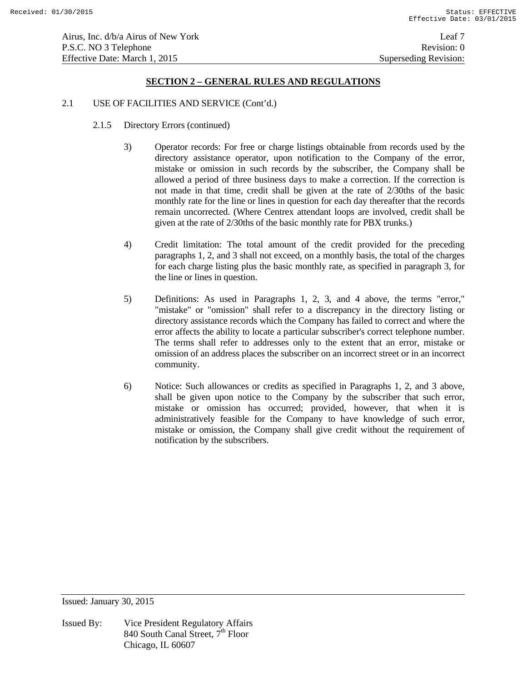### 2.1 USE OF FACILITIES AND SERVICE (Cont'd.)

- 2.1.5 Directory Errors (continued)
	- 3) Operator records: For free or charge listings obtainable from records used by the directory assistance operator, upon notification to the Company of the error, mistake or omission in such records by the subscriber, the Company shall be allowed a period of three business days to make a correction. If the correction is not made in that time, credit shall be given at the rate of 2/30ths of the basic monthly rate for the line or lines in question for each day thereafter that the records remain uncorrected. (Where Centrex attendant loops are involved, credit shall be given at the rate of 2/30ths of the basic monthly rate for PBX trunks.)
	- 4) Credit limitation: The total amount of the credit provided for the preceding paragraphs 1, 2, and 3 shall not exceed, on a monthly basis, the total of the charges for each charge listing plus the basic monthly rate, as specified in paragraph 3, for the line or lines in question.
	- 5) Definitions: As used in Paragraphs 1, 2, 3, and 4 above, the terms "error," "mistake" or "omission" shall refer to a discrepancy in the directory listing or directory assistance records which the Company has failed to correct and where the error affects the ability to locate a particular subscriber's correct telephone number. The terms shall refer to addresses only to the extent that an error, mistake or omission of an address places the subscriber on an incorrect street or in an incorrect community.
	- 6) Notice: Such allowances or credits as specified in Paragraphs 1, 2, and 3 above, shall be given upon notice to the Company by the subscriber that such error, mistake or omission has occurred; provided, however, that when it is administratively feasible for the Company to have knowledge of such error, mistake or omission, the Company shall give credit without the requirement of notification by the subscribers.

Issued: January 30, 2015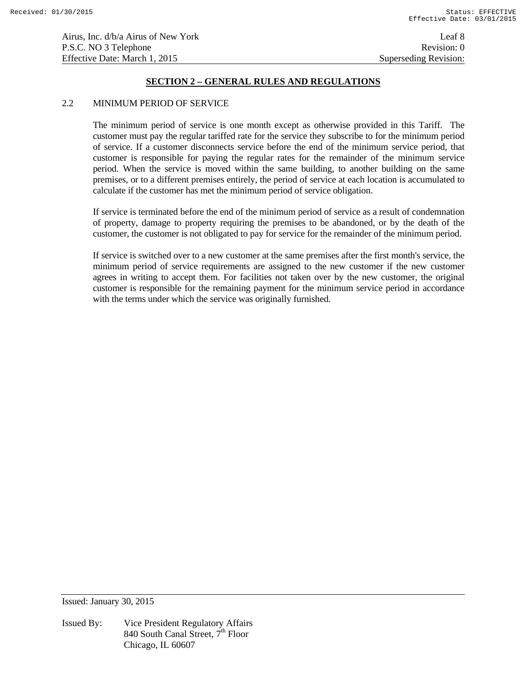### 2.2 MINIMUM PERIOD OF SERVICE

 The minimum period of service is one month except as otherwise provided in this Tariff. The customer must pay the regular tariffed rate for the service they subscribe to for the minimum period of service. If a customer disconnects service before the end of the minimum service period, that customer is responsible for paying the regular rates for the remainder of the minimum service period. When the service is moved within the same building, to another building on the same premises, or to a different premises entirely, the period of service at each location is accumulated to calculate if the customer has met the minimum period of service obligation.

 If service is terminated before the end of the minimum period of service as a result of condemnation of property, damage to property requiring the premises to be abandoned, or by the death of the customer, the customer is not obligated to pay for service for the remainder of the minimum period.

 If service is switched over to a new customer at the same premises after the first month's service, the minimum period of service requirements are assigned to the new customer if the new customer agrees in writing to accept them. For facilities not taken over by the new customer, the original customer is responsible for the remaining payment for the minimum service period in accordance with the terms under which the service was originally furnished.

Issued: January 30, 2015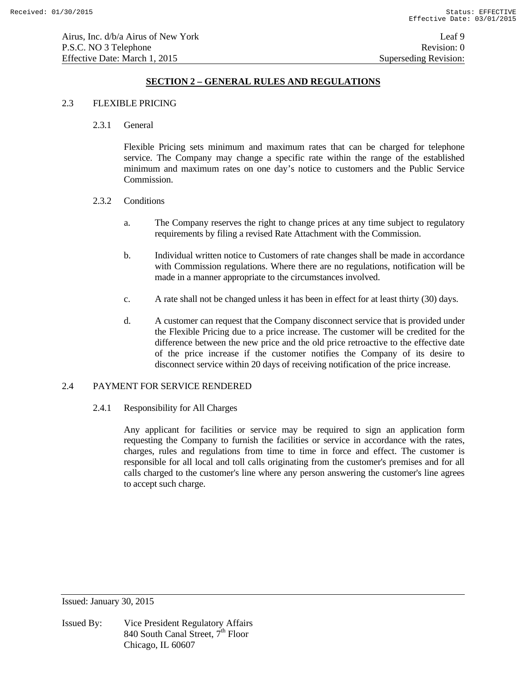## 2.3 FLEXIBLE PRICING

2.3.1 General

 Flexible Pricing sets minimum and maximum rates that can be charged for telephone service. The Company may change a specific rate within the range of the established minimum and maximum rates on one day's notice to customers and the Public Service Commission.

- 2.3.2 Conditions
	- a. The Company reserves the right to change prices at any time subject to regulatory requirements by filing a revised Rate Attachment with the Commission.
	- b. Individual written notice to Customers of rate changes shall be made in accordance with Commission regulations. Where there are no regulations, notification will be made in a manner appropriate to the circumstances involved.
	- c. A rate shall not be changed unless it has been in effect for at least thirty (30) days.
	- d. A customer can request that the Company disconnect service that is provided under the Flexible Pricing due to a price increase. The customer will be credited for the difference between the new price and the old price retroactive to the effective date of the price increase if the customer notifies the Company of its desire to disconnect service within 20 days of receiving notification of the price increase.

# 2.4 PAYMENT FOR SERVICE RENDERED

## 2.4.1 Responsibility for All Charges

 Any applicant for facilities or service may be required to sign an application form requesting the Company to furnish the facilities or service in accordance with the rates, charges, rules and regulations from time to time in force and effect. The customer is responsible for all local and toll calls originating from the customer's premises and for all calls charged to the customer's line where any person answering the customer's line agrees to accept such charge.

Issued: January 30, 2015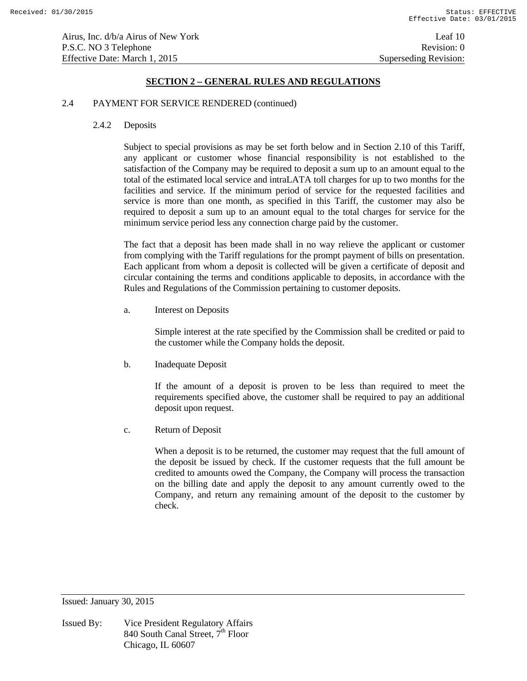### 2.4 PAYMENT FOR SERVICE RENDERED (continued)

### 2.4.2 Deposits

 Subject to special provisions as may be set forth below and in Section 2.10 of this Tariff, any applicant or customer whose financial responsibility is not established to the satisfaction of the Company may be required to deposit a sum up to an amount equal to the total of the estimated local service and intraLATA toll charges for up to two months for the facilities and service. If the minimum period of service for the requested facilities and service is more than one month, as specified in this Tariff, the customer may also be required to deposit a sum up to an amount equal to the total charges for service for the minimum service period less any connection charge paid by the customer.

 The fact that a deposit has been made shall in no way relieve the applicant or customer from complying with the Tariff regulations for the prompt payment of bills on presentation. Each applicant from whom a deposit is collected will be given a certificate of deposit and circular containing the terms and conditions applicable to deposits, in accordance with the Rules and Regulations of the Commission pertaining to customer deposits.

a. Interest on Deposits

 Simple interest at the rate specified by the Commission shall be credited or paid to the customer while the Company holds the deposit.

b. Inadequate Deposit

 If the amount of a deposit is proven to be less than required to meet the requirements specified above, the customer shall be required to pay an additional deposit upon request.

c. Return of Deposit

 When a deposit is to be returned, the customer may request that the full amount of the deposit be issued by check. If the customer requests that the full amount be credited to amounts owed the Company, the Company will process the transaction on the billing date and apply the deposit to any amount currently owed to the Company, and return any remaining amount of the deposit to the customer by check.

Issued: January 30, 2015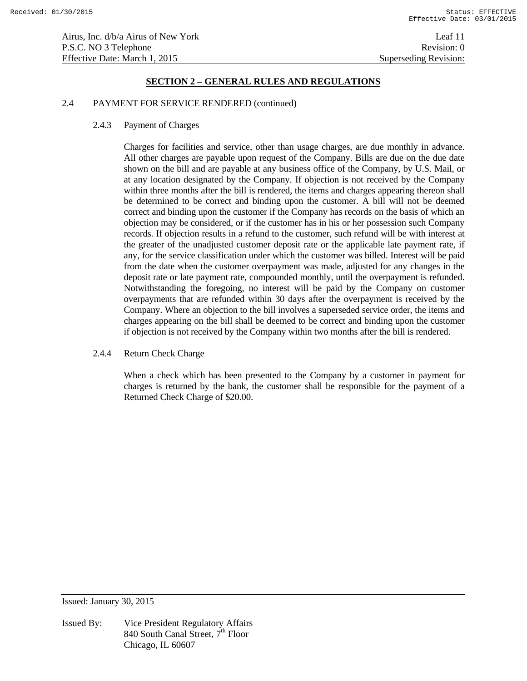## 2.4 PAYMENT FOR SERVICE RENDERED (continued)

2.4.3 Payment of Charges

 Charges for facilities and service, other than usage charges, are due monthly in advance. All other charges are payable upon request of the Company. Bills are due on the due date shown on the bill and are payable at any business office of the Company, by U.S. Mail, or at any location designated by the Company. If objection is not received by the Company within three months after the bill is rendered, the items and charges appearing thereon shall be determined to be correct and binding upon the customer. A bill will not be deemed correct and binding upon the customer if the Company has records on the basis of which an objection may be considered, or if the customer has in his or her possession such Company records. If objection results in a refund to the customer, such refund will be with interest at the greater of the unadjusted customer deposit rate or the applicable late payment rate, if any, for the service classification under which the customer was billed. Interest will be paid from the date when the customer overpayment was made, adjusted for any changes in the deposit rate or late payment rate, compounded monthly, until the overpayment is refunded. Notwithstanding the foregoing, no interest will be paid by the Company on customer overpayments that are refunded within 30 days after the overpayment is received by the Company. Where an objection to the bill involves a superseded service order, the items and charges appearing on the bill shall be deemed to be correct and binding upon the customer if objection is not received by the Company within two months after the bill is rendered.

2.4.4 Return Check Charge

When a check which has been presented to the Company by a customer in payment for charges is returned by the bank, the customer shall be responsible for the payment of a Returned Check Charge of \$20.00.

Issued: January 30, 2015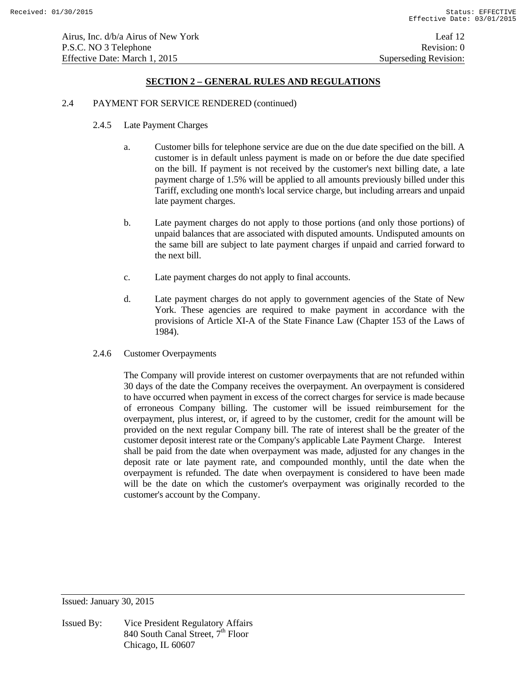### 2.4 PAYMENT FOR SERVICE RENDERED (continued)

- 2.4.5 Late Payment Charges
	- a. Customer bills for telephone service are due on the due date specified on the bill. A customer is in default unless payment is made on or before the due date specified on the bill. If payment is not received by the customer's next billing date, a late payment charge of 1.5% will be applied to all amounts previously billed under this Tariff, excluding one month's local service charge, but including arrears and unpaid late payment charges.
	- b. Late payment charges do not apply to those portions (and only those portions) of unpaid balances that are associated with disputed amounts. Undisputed amounts on the same bill are subject to late payment charges if unpaid and carried forward to the next bill.
	- c. Late payment charges do not apply to final accounts.
	- d. Late payment charges do not apply to government agencies of the State of New York. These agencies are required to make payment in accordance with the provisions of Article XI-A of the State Finance Law (Chapter 153 of the Laws of 1984).
- 2.4.6 Customer Overpayments

 The Company will provide interest on customer overpayments that are not refunded within 30 days of the date the Company receives the overpayment. An overpayment is considered to have occurred when payment in excess of the correct charges for service is made because of erroneous Company billing. The customer will be issued reimbursement for the overpayment, plus interest, or, if agreed to by the customer, credit for the amount will be provided on the next regular Company bill. The rate of interest shall be the greater of the customer deposit interest rate or the Company's applicable Late Payment Charge. Interest shall be paid from the date when overpayment was made, adjusted for any changes in the deposit rate or late payment rate, and compounded monthly, until the date when the overpayment is refunded. The date when overpayment is considered to have been made will be the date on which the customer's overpayment was originally recorded to the customer's account by the Company.

Issued: January 30, 2015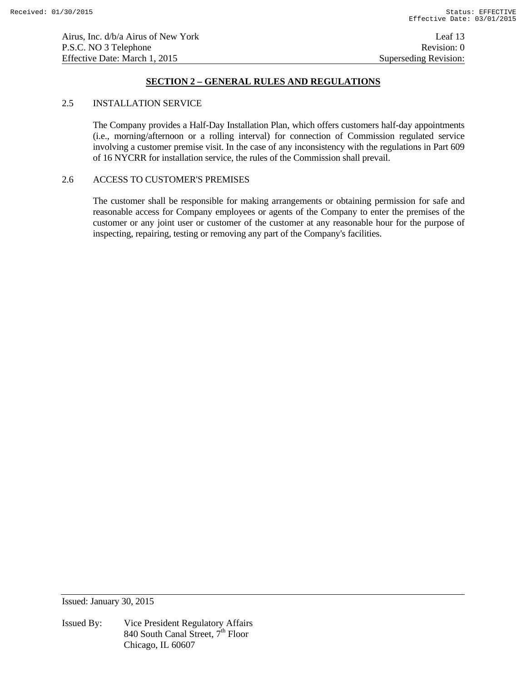### 2.5 INSTALLATION SERVICE

 The Company provides a Half-Day Installation Plan, which offers customers half-day appointments (i.e., morning/afternoon or a rolling interval) for connection of Commission regulated service involving a customer premise visit. In the case of any inconsistency with the regulations in Part 609 of 16 NYCRR for installation service, the rules of the Commission shall prevail.

## 2.6 ACCESS TO CUSTOMER'S PREMISES

 The customer shall be responsible for making arrangements or obtaining permission for safe and reasonable access for Company employees or agents of the Company to enter the premises of the customer or any joint user or customer of the customer at any reasonable hour for the purpose of inspecting, repairing, testing or removing any part of the Company's facilities.

Issued: January 30, 2015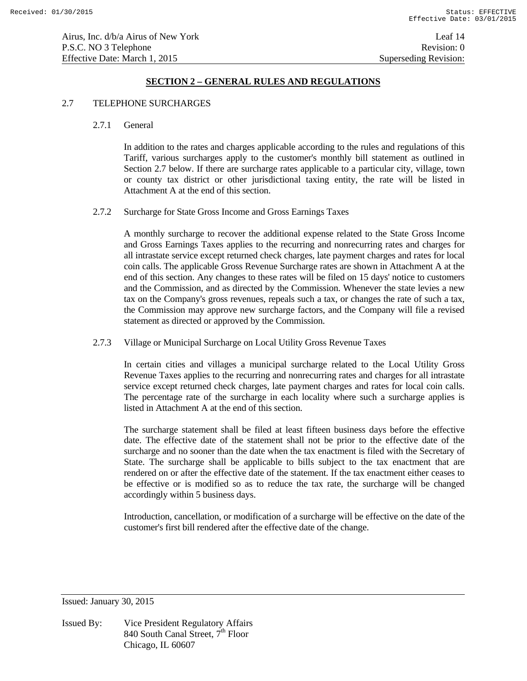## 2.7 TELEPHONE SURCHARGES

#### 2.7.1 General

 In addition to the rates and charges applicable according to the rules and regulations of this Tariff, various surcharges apply to the customer's monthly bill statement as outlined in Section 2.7 below. If there are surcharge rates applicable to a particular city, village, town or county tax district or other jurisdictional taxing entity, the rate will be listed in Attachment A at the end of this section.

# 2.7.2 Surcharge for State Gross Income and Gross Earnings Taxes

 A monthly surcharge to recover the additional expense related to the State Gross Income and Gross Earnings Taxes applies to the recurring and nonrecurring rates and charges for all intrastate service except returned check charges, late payment charges and rates for local coin calls. The applicable Gross Revenue Surcharge rates are shown in Attachment A at the end of this section. Any changes to these rates will be filed on 15 days' notice to customers and the Commission, and as directed by the Commission. Whenever the state levies a new tax on the Company's gross revenues, repeals such a tax, or changes the rate of such a tax, the Commission may approve new surcharge factors, and the Company will file a revised statement as directed or approved by the Commission.

#### 2.7.3 Village or Municipal Surcharge on Local Utility Gross Revenue Taxes

 In certain cities and villages a municipal surcharge related to the Local Utility Gross Revenue Taxes applies to the recurring and nonrecurring rates and charges for all intrastate service except returned check charges, late payment charges and rates for local coin calls. The percentage rate of the surcharge in each locality where such a surcharge applies is listed in Attachment A at the end of this section.

 The surcharge statement shall be filed at least fifteen business days before the effective date. The effective date of the statement shall not be prior to the effective date of the surcharge and no sooner than the date when the tax enactment is filed with the Secretary of State. The surcharge shall be applicable to bills subject to the tax enactment that are rendered on or after the effective date of the statement. If the tax enactment either ceases to be effective or is modified so as to reduce the tax rate, the surcharge will be changed accordingly within 5 business days.

 Introduction, cancellation, or modification of a surcharge will be effective on the date of the customer's first bill rendered after the effective date of the change.

Issued: January 30, 2015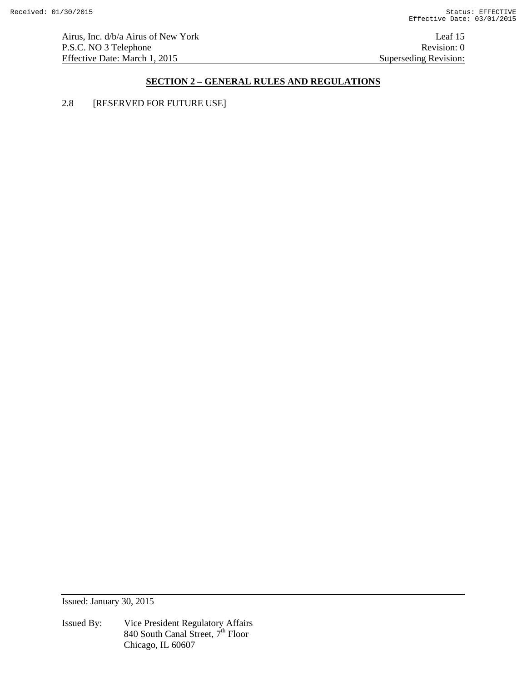Airus, Inc. d/b/a Airus of New York Leaf 15 P.S.C. NO 3 Telephone Revision: 0<br>Effective Date: March 1, 2015 Superseding Revision: 0 Effective Date: March 1, 2015

# **SECTION 2 – GENERAL RULES AND REGULATIONS**

2.8 [RESERVED FOR FUTURE USE]

Issued: January 30, 2015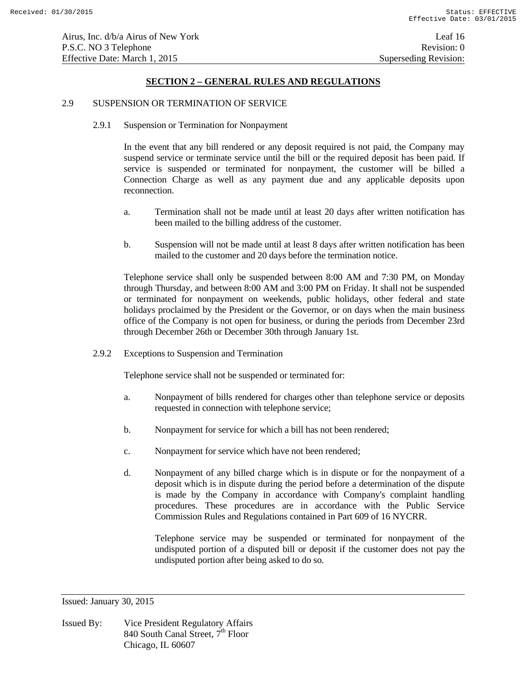### 2.9 SUSPENSION OR TERMINATION OF SERVICE

2.9.1 Suspension or Termination for Nonpayment

 In the event that any bill rendered or any deposit required is not paid, the Company may suspend service or terminate service until the bill or the required deposit has been paid. If service is suspended or terminated for nonpayment, the customer will be billed a Connection Charge as well as any payment due and any applicable deposits upon reconnection.

- a. Termination shall not be made until at least 20 days after written notification has been mailed to the billing address of the customer.
- b. Suspension will not be made until at least 8 days after written notification has been mailed to the customer and 20 days before the termination notice.

 Telephone service shall only be suspended between 8:00 AM and 7:30 PM, on Monday through Thursday, and between 8:00 AM and 3:00 PM on Friday. It shall not be suspended or terminated for nonpayment on weekends, public holidays, other federal and state holidays proclaimed by the President or the Governor, or on days when the main business office of the Company is not open for business, or during the periods from December 23rd through December 26th or December 30th through January 1st.

2.9.2 Exceptions to Suspension and Termination

Telephone service shall not be suspended or terminated for:

- a. Nonpayment of bills rendered for charges other than telephone service or deposits requested in connection with telephone service;
- b. Nonpayment for service for which a bill has not been rendered;
- c. Nonpayment for service which have not been rendered;
- d. Nonpayment of any billed charge which is in dispute or for the nonpayment of a deposit which is in dispute during the period before a determination of the dispute is made by the Company in accordance with Company's complaint handling procedures. These procedures are in accordance with the Public Service Commission Rules and Regulations contained in Part 609 of 16 NYCRR.

 Telephone service may be suspended or terminated for nonpayment of the undisputed portion of a disputed bill or deposit if the customer does not pay the undisputed portion after being asked to do so.

Issued: January 30, 2015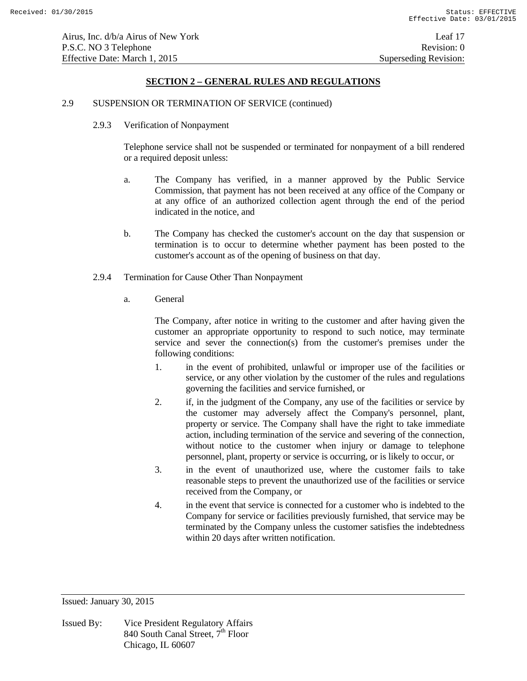### 2.9 SUSPENSION OR TERMINATION OF SERVICE (continued)

2.9.3 Verification of Nonpayment

 Telephone service shall not be suspended or terminated for nonpayment of a bill rendered or a required deposit unless:

- a. The Company has verified, in a manner approved by the Public Service Commission, that payment has not been received at any office of the Company or at any office of an authorized collection agent through the end of the period indicated in the notice, and
- b. The Company has checked the customer's account on the day that suspension or termination is to occur to determine whether payment has been posted to the customer's account as of the opening of business on that day.
- 2.9.4 Termination for Cause Other Than Nonpayment
	- a. General

 The Company, after notice in writing to the customer and after having given the customer an appropriate opportunity to respond to such notice, may terminate service and sever the connection(s) from the customer's premises under the following conditions:

- 1. in the event of prohibited, unlawful or improper use of the facilities or service, or any other violation by the customer of the rules and regulations governing the facilities and service furnished, or
- 2. if, in the judgment of the Company, any use of the facilities or service by the customer may adversely affect the Company's personnel, plant, property or service. The Company shall have the right to take immediate action, including termination of the service and severing of the connection, without notice to the customer when injury or damage to telephone personnel, plant, property or service is occurring, or is likely to occur, or
- 3. in the event of unauthorized use, where the customer fails to take reasonable steps to prevent the unauthorized use of the facilities or service received from the Company, or
- 4. in the event that service is connected for a customer who is indebted to the Company for service or facilities previously furnished, that service may be terminated by the Company unless the customer satisfies the indebtedness within 20 days after written notification.

Issued: January 30, 2015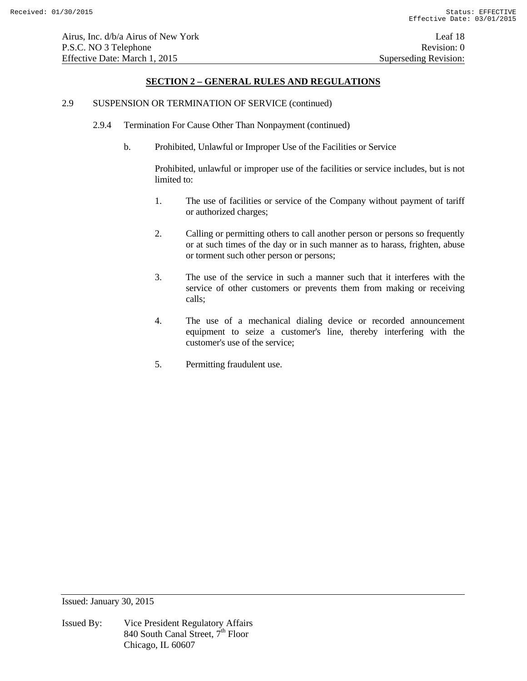## 2.9 SUSPENSION OR TERMINATION OF SERVICE (continued)

- 2.9.4 Termination For Cause Other Than Nonpayment (continued)
	- b. Prohibited, Unlawful or Improper Use of the Facilities or Service

 Prohibited, unlawful or improper use of the facilities or service includes, but is not limited to:

- 1. The use of facilities or service of the Company without payment of tariff or authorized charges;
- 2. Calling or permitting others to call another person or persons so frequently or at such times of the day or in such manner as to harass, frighten, abuse or torment such other person or persons;
- 3. The use of the service in such a manner such that it interferes with the service of other customers or prevents them from making or receiving calls;
- 4. The use of a mechanical dialing device or recorded announcement equipment to seize a customer's line, thereby interfering with the customer's use of the service;
- 5. Permitting fraudulent use.

Issued: January 30, 2015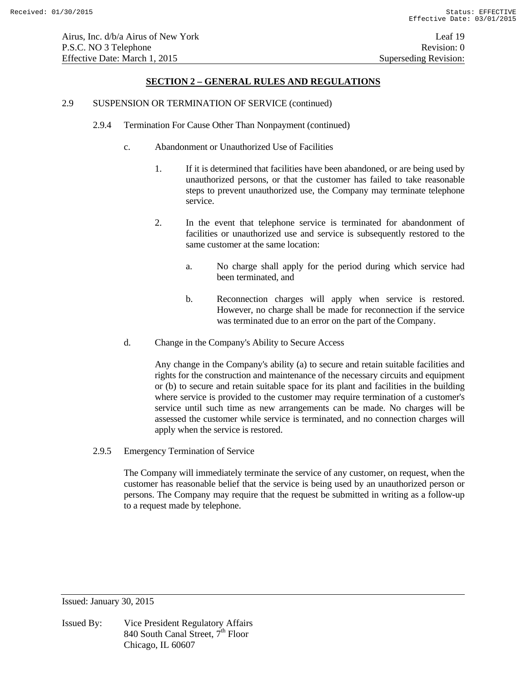Airus, Inc. d/b/a Airus of New York Leaf 19 P.S.C. NO 3 Telephone Revision: 0 Effective Date: March 1, 2015 Superseding Revision:

## **SECTION 2 – GENERAL RULES AND REGULATIONS**

### 2.9 SUSPENSION OR TERMINATION OF SERVICE (continued)

- 2.9.4 Termination For Cause Other Than Nonpayment (continued)
	- c. Abandonment or Unauthorized Use of Facilities
		- 1. If it is determined that facilities have been abandoned, or are being used by unauthorized persons, or that the customer has failed to take reasonable steps to prevent unauthorized use, the Company may terminate telephone service.
		- 2. In the event that telephone service is terminated for abandonment of facilities or unauthorized use and service is subsequently restored to the same customer at the same location:
			- a. No charge shall apply for the period during which service had been terminated, and
			- b. Reconnection charges will apply when service is restored. However, no charge shall be made for reconnection if the service was terminated due to an error on the part of the Company.
	- d. Change in the Company's Ability to Secure Access

 Any change in the Company's ability (a) to secure and retain suitable facilities and rights for the construction and maintenance of the necessary circuits and equipment or (b) to secure and retain suitable space for its plant and facilities in the building where service is provided to the customer may require termination of a customer's service until such time as new arrangements can be made. No charges will be assessed the customer while service is terminated, and no connection charges will apply when the service is restored.

2.9.5 Emergency Termination of Service

 The Company will immediately terminate the service of any customer, on request, when the customer has reasonable belief that the service is being used by an unauthorized person or persons. The Company may require that the request be submitted in writing as a follow-up to a request made by telephone.

Issued: January 30, 2015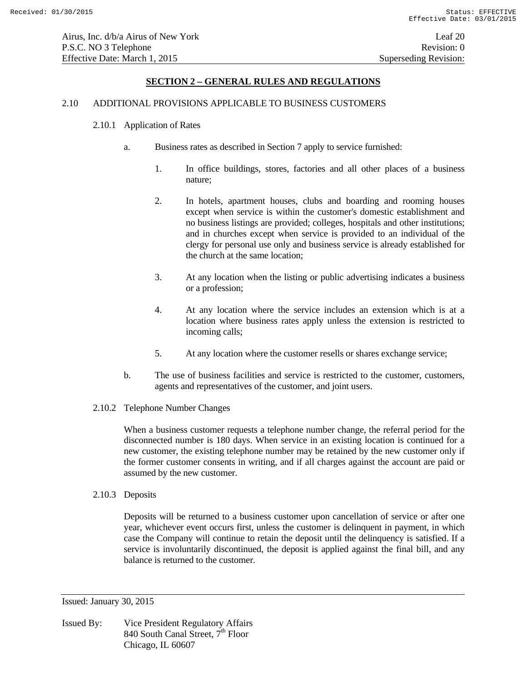# 2.10 ADDITIONAL PROVISIONS APPLICABLE TO BUSINESS CUSTOMERS

### 2.10.1 Application of Rates

- a. Business rates as described in Section 7 apply to service furnished:
	- 1. In office buildings, stores, factories and all other places of a business nature;
	- 2. In hotels, apartment houses, clubs and boarding and rooming houses except when service is within the customer's domestic establishment and no business listings are provided; colleges, hospitals and other institutions; and in churches except when service is provided to an individual of the clergy for personal use only and business service is already established for the church at the same location;
	- 3. At any location when the listing or public advertising indicates a business or a profession;
	- 4. At any location where the service includes an extension which is at a location where business rates apply unless the extension is restricted to incoming calls;
	- 5. At any location where the customer resells or shares exchange service;
- b. The use of business facilities and service is restricted to the customer, customers, agents and representatives of the customer, and joint users.
- 2.10.2 Telephone Number Changes

 When a business customer requests a telephone number change, the referral period for the disconnected number is 180 days. When service in an existing location is continued for a new customer, the existing telephone number may be retained by the new customer only if the former customer consents in writing, and if all charges against the account are paid or assumed by the new customer.

2.10.3 Deposits

 Deposits will be returned to a business customer upon cancellation of service or after one year, whichever event occurs first, unless the customer is delinquent in payment, in which case the Company will continue to retain the deposit until the delinquency is satisfied. If a service is involuntarily discontinued, the deposit is applied against the final bill, and any balance is returned to the customer.

Issued: January 30, 2015

Issued By: Vice President Regulatory Affairs 840 South Canal Street,  $7^{\text{th}}$  Floor Chicago, IL 60607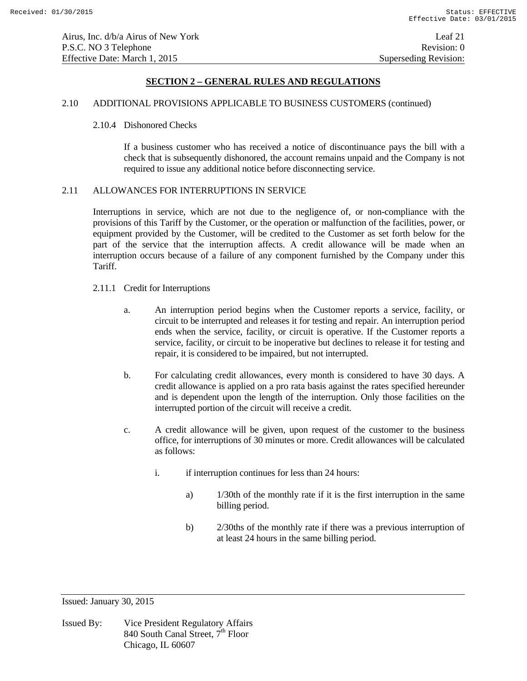#### 2.10 ADDITIONAL PROVISIONS APPLICABLE TO BUSINESS CUSTOMERS (continued)

### 2.10.4 Dishonored Checks

 If a business customer who has received a notice of discontinuance pays the bill with a check that is subsequently dishonored, the account remains unpaid and the Company is not required to issue any additional notice before disconnecting service.

### 2.11 ALLOWANCES FOR INTERRUPTIONS IN SERVICE

 Interruptions in service, which are not due to the negligence of, or non-compliance with the provisions of this Tariff by the Customer, or the operation or malfunction of the facilities, power, or equipment provided by the Customer, will be credited to the Customer as set forth below for the part of the service that the interruption affects. A credit allowance will be made when an interruption occurs because of a failure of any component furnished by the Company under this Tariff.

- 2.11.1 Credit for Interruptions
	- a. An interruption period begins when the Customer reports a service, facility, or circuit to be interrupted and releases it for testing and repair. An interruption period ends when the service, facility, or circuit is operative. If the Customer reports a service, facility, or circuit to be inoperative but declines to release it for testing and repair, it is considered to be impaired, but not interrupted.
	- b. For calculating credit allowances, every month is considered to have 30 days. A credit allowance is applied on a pro rata basis against the rates specified hereunder and is dependent upon the length of the interruption. Only those facilities on the interrupted portion of the circuit will receive a credit.
	- c. A credit allowance will be given, upon request of the customer to the business office, for interruptions of 30 minutes or more. Credit allowances will be calculated as follows:
		- i. if interruption continues for less than 24 hours:
			- a) 1/30th of the monthly rate if it is the first interruption in the same billing period.
			- b) 2/30ths of the monthly rate if there was a previous interruption of at least 24 hours in the same billing period.

Issued: January 30, 2015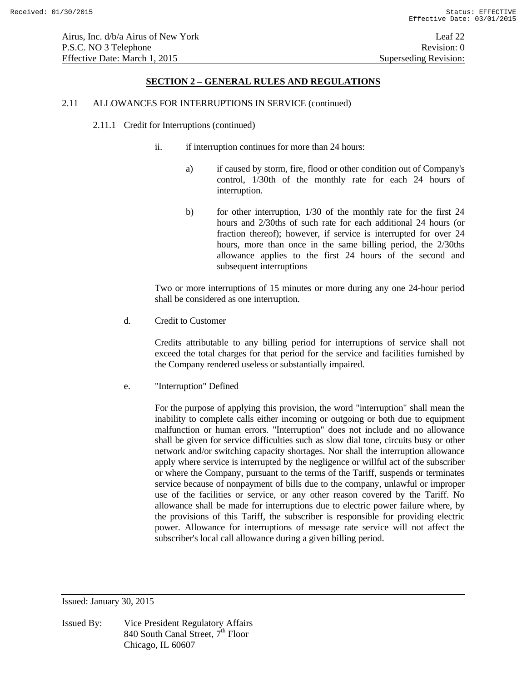## 2.11 ALLOWANCES FOR INTERRUPTIONS IN SERVICE (continued)

- 2.11.1 Credit for Interruptions (continued)
	- ii. if interruption continues for more than 24 hours:
		- a) if caused by storm, fire, flood or other condition out of Company's control, 1/30th of the monthly rate for each 24 hours of interruption.
		- b) for other interruption, 1/30 of the monthly rate for the first 24 hours and 2/30ths of such rate for each additional 24 hours (or fraction thereof); however, if service is interrupted for over 24 hours, more than once in the same billing period, the 2/30ths allowance applies to the first 24 hours of the second and subsequent interruptions

 Two or more interruptions of 15 minutes or more during any one 24-hour period shall be considered as one interruption.

d. Credit to Customer

 Credits attributable to any billing period for interruptions of service shall not exceed the total charges for that period for the service and facilities furnished by the Company rendered useless or substantially impaired.

e. "Interruption" Defined

 For the purpose of applying this provision, the word "interruption" shall mean the inability to complete calls either incoming or outgoing or both due to equipment malfunction or human errors. "Interruption" does not include and no allowance shall be given for service difficulties such as slow dial tone, circuits busy or other network and/or switching capacity shortages. Nor shall the interruption allowance apply where service is interrupted by the negligence or willful act of the subscriber or where the Company, pursuant to the terms of the Tariff, suspends or terminates service because of nonpayment of bills due to the company, unlawful or improper use of the facilities or service, or any other reason covered by the Tariff. No allowance shall be made for interruptions due to electric power failure where, by the provisions of this Tariff, the subscriber is responsible for providing electric power. Allowance for interruptions of message rate service will not affect the subscriber's local call allowance during a given billing period.

Issued: January 30, 2015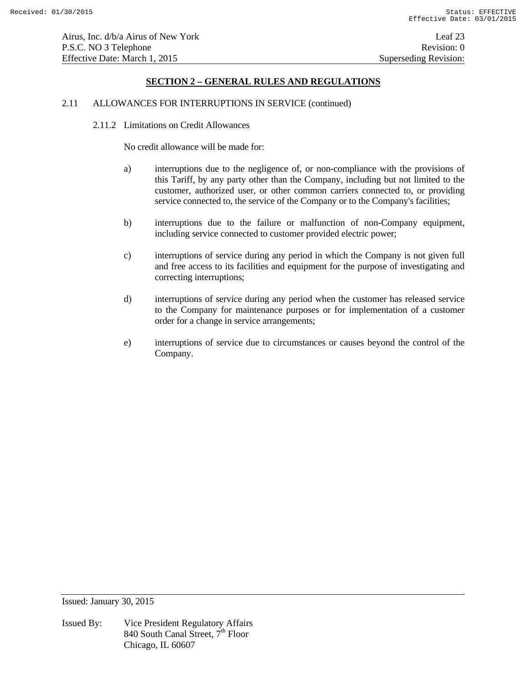#### 2.11 ALLOWANCES FOR INTERRUPTIONS IN SERVICE (continued)

2.11.2 Limitations on Credit Allowances

No credit allowance will be made for:

- a) interruptions due to the negligence of, or non-compliance with the provisions of this Tariff, by any party other than the Company, including but not limited to the customer, authorized user, or other common carriers connected to, or providing service connected to, the service of the Company or to the Company's facilities;
- b) interruptions due to the failure or malfunction of non-Company equipment, including service connected to customer provided electric power;
- c) interruptions of service during any period in which the Company is not given full and free access to its facilities and equipment for the purpose of investigating and correcting interruptions;
- d) interruptions of service during any period when the customer has released service to the Company for maintenance purposes or for implementation of a customer order for a change in service arrangements;
- e) interruptions of service due to circumstances or causes beyond the control of the Company.

Issued: January 30, 2015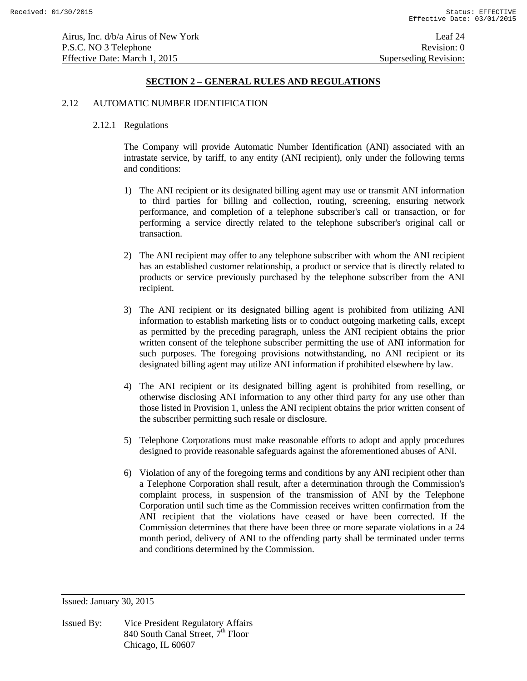#### 2.12 AUTOMATIC NUMBER IDENTIFICATION

### 2.12.1 Regulations

 The Company will provide Automatic Number Identification (ANI) associated with an intrastate service, by tariff, to any entity (ANI recipient), only under the following terms and conditions:

- 1) The ANI recipient or its designated billing agent may use or transmit ANI information to third parties for billing and collection, routing, screening, ensuring network performance, and completion of a telephone subscriber's call or transaction, or for performing a service directly related to the telephone subscriber's original call or transaction.
- 2) The ANI recipient may offer to any telephone subscriber with whom the ANI recipient has an established customer relationship, a product or service that is directly related to products or service previously purchased by the telephone subscriber from the ANI recipient.
- 3) The ANI recipient or its designated billing agent is prohibited from utilizing ANI information to establish marketing lists or to conduct outgoing marketing calls, except as permitted by the preceding paragraph, unless the ANI recipient obtains the prior written consent of the telephone subscriber permitting the use of ANI information for such purposes. The foregoing provisions notwithstanding, no ANI recipient or its designated billing agent may utilize ANI information if prohibited elsewhere by law.
- 4) The ANI recipient or its designated billing agent is prohibited from reselling, or otherwise disclosing ANI information to any other third party for any use other than those listed in Provision 1, unless the ANI recipient obtains the prior written consent of the subscriber permitting such resale or disclosure.
- 5) Telephone Corporations must make reasonable efforts to adopt and apply procedures designed to provide reasonable safeguards against the aforementioned abuses of ANI.
- 6) Violation of any of the foregoing terms and conditions by any ANI recipient other than a Telephone Corporation shall result, after a determination through the Commission's complaint process, in suspension of the transmission of ANI by the Telephone Corporation until such time as the Commission receives written confirmation from the ANI recipient that the violations have ceased or have been corrected. If the Commission determines that there have been three or more separate violations in a 24 month period, delivery of ANI to the offending party shall be terminated under terms and conditions determined by the Commission.

Issued: January 30, 2015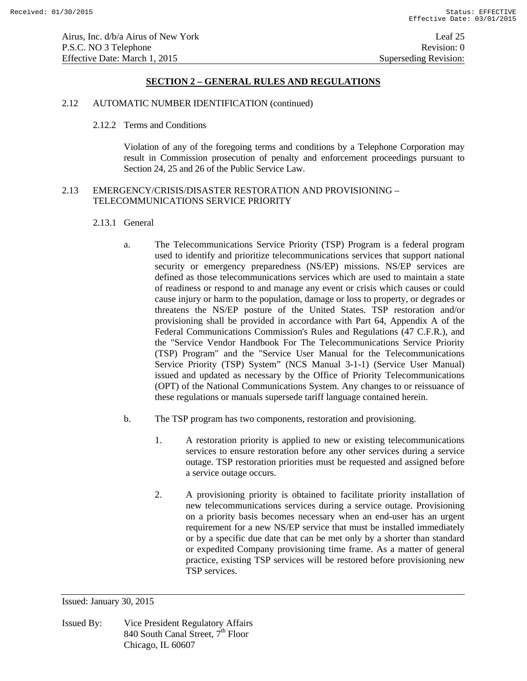# 2.12 AUTOMATIC NUMBER IDENTIFICATION (continued)

### 2.12.2 Terms and Conditions

 Violation of any of the foregoing terms and conditions by a Telephone Corporation may result in Commission prosecution of penalty and enforcement proceedings pursuant to Section 24, 25 and 26 of the Public Service Law.

# 2.13 EMERGENCY/CRISIS/DISASTER RESTORATION AND PROVISIONING – TELECOMMUNICATIONS SERVICE PRIORITY

### 2.13.1 General

- a. The Telecommunications Service Priority (TSP) Program is a federal program used to identify and prioritize telecommunications services that support national security or emergency preparedness (NS/EP) missions. NS/EP services are defined as those telecommunications services which are used to maintain a state of readiness or respond to and manage any event or crisis which causes or could cause injury or harm to the population, damage or loss to property, or degrades or threatens the NS/EP posture of the United States. TSP restoration and/or provisioning shall be provided in accordance with Part 64, Appendix A of the Federal Communications Commission's Rules and Regulations (47 C.F.R.), and the "Service Vendor Handbook For The Telecommunications Service Priority (TSP) Program" and the "Service User Manual for the Telecommunications Service Priority (TSP) System" (NCS Manual 3-1-1) (Service User Manual) issued and updated as necessary by the Office of Priority Telecommunications (OPT) of the National Communications System. Any changes to or reissuance of these regulations or manuals supersede tariff language contained herein.
- b. The TSP program has two components, restoration and provisioning.
	- 1. A restoration priority is applied to new or existing telecommunications services to ensure restoration before any other services during a service outage. TSP restoration priorities must be requested and assigned before a service outage occurs.
	- 2. A provisioning priority is obtained to facilitate priority installation of new telecommunications services during a service outage. Provisioning on a priority basis becomes necessary when an end-user has an urgent requirement for a new NS/EP service that must be installed immediately or by a specific due date that can be met only by a shorter than standard or expedited Company provisioning time frame. As a matter of general practice, existing TSP services will be restored before provisioning new TSP services.

Issued: January 30, 2015

Issued By: Vice President Regulatory Affairs 840 South Canal Street,  $7^{\text{th}}$  Floor Chicago, IL 60607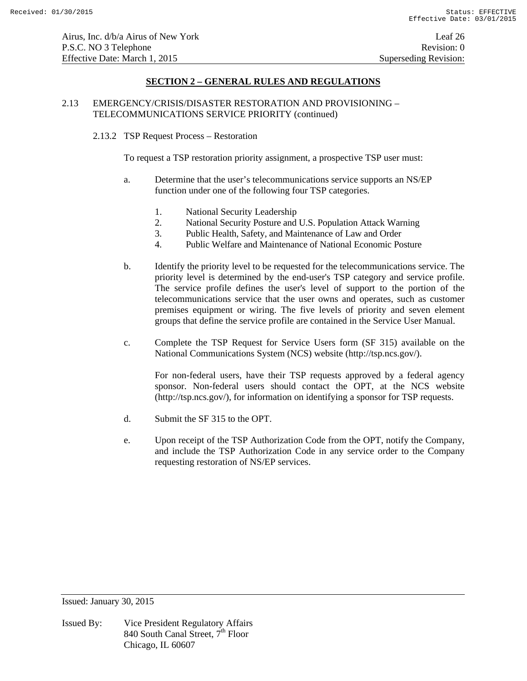# 2.13 EMERGENCY/CRISIS/DISASTER RESTORATION AND PROVISIONING – TELECOMMUNICATIONS SERVICE PRIORITY (continued)

### 2.13.2 TSP Request Process – Restoration

To request a TSP restoration priority assignment, a prospective TSP user must:

- a. Determine that the user's telecommunications service supports an NS/EP function under one of the following four TSP categories.
	- 1. National Security Leadership
	- 2. National Security Posture and U.S. Population Attack Warning
	- 3. Public Health, Safety, and Maintenance of Law and Order
	- 4. Public Welfare and Maintenance of National Economic Posture
- b. Identify the priority level to be requested for the telecommunications service. The priority level is determined by the end-user's TSP category and service profile. The service profile defines the user's level of support to the portion of the telecommunications service that the user owns and operates, such as customer premises equipment or wiring. The five levels of priority and seven element groups that define the service profile are contained in the Service User Manual.
- c. Complete the TSP Request for Service Users form (SF 315) available on the National Communications System (NCS) website (http://tsp.ncs.gov/).

For non-federal users, have their TSP requests approved by a federal agency sponsor. Non-federal users should contact the OPT, at the NCS website (http://tsp.ncs.gov/), for information on identifying a sponsor for TSP requests.

- d. Submit the SF 315 to the OPT.
- e. Upon receipt of the TSP Authorization Code from the OPT, notify the Company, and include the TSP Authorization Code in any service order to the Company requesting restoration of NS/EP services.

Issued: January 30, 2015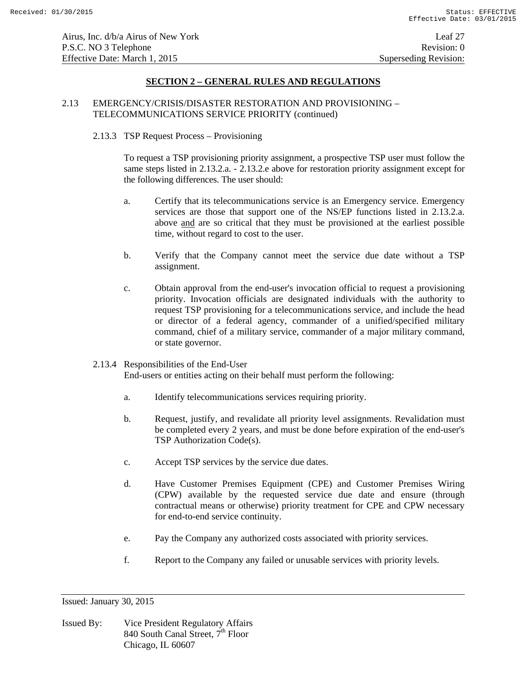# 2.13 EMERGENCY/CRISIS/DISASTER RESTORATION AND PROVISIONING – TELECOMMUNICATIONS SERVICE PRIORITY (continued)

## 2.13.3 TSP Request Process – Provisioning

To request a TSP provisioning priority assignment, a prospective TSP user must follow the same steps listed in 2.13.2.a. - 2.13.2.e above for restoration priority assignment except for the following differences. The user should:

- a. Certify that its telecommunications service is an Emergency service. Emergency services are those that support one of the NS/EP functions listed in 2.13.2.a. above and are so critical that they must be provisioned at the earliest possible time, without regard to cost to the user.
- b. Verify that the Company cannot meet the service due date without a TSP assignment.
- c. Obtain approval from the end-user's invocation official to request a provisioning priority. Invocation officials are designated individuals with the authority to request TSP provisioning for a telecommunications service, and include the head or director of a federal agency, commander of a unified/specified military command, chief of a military service, commander of a major military command, or state governor.

## 2.13.4 Responsibilities of the End-User

End-users or entities acting on their behalf must perform the following:

- a. Identify telecommunications services requiring priority.
- b. Request, justify, and revalidate all priority level assignments. Revalidation must be completed every 2 years, and must be done before expiration of the end-user's TSP Authorization Code(s).
- c. Accept TSP services by the service due dates.
- d. Have Customer Premises Equipment (CPE) and Customer Premises Wiring (CPW) available by the requested service due date and ensure (through contractual means or otherwise) priority treatment for CPE and CPW necessary for end-to-end service continuity.
- e. Pay the Company any authorized costs associated with priority services.
- f. Report to the Company any failed or unusable services with priority levels.

Issued: January 30, 2015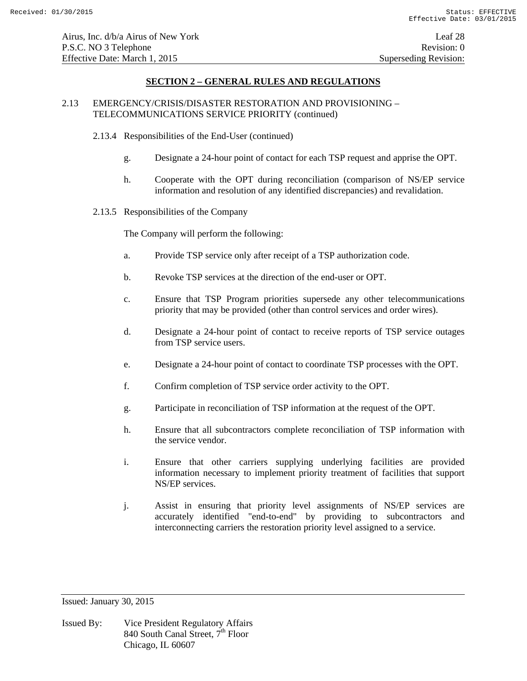# 2.13 EMERGENCY/CRISIS/DISASTER RESTORATION AND PROVISIONING – TELECOMMUNICATIONS SERVICE PRIORITY (continued)

- 2.13.4 Responsibilities of the End-User (continued)
	- g. Designate a 24-hour point of contact for each TSP request and apprise the OPT.
	- h. Cooperate with the OPT during reconciliation (comparison of NS/EP service information and resolution of any identified discrepancies) and revalidation.
- 2.13.5 Responsibilities of the Company

The Company will perform the following:

- a. Provide TSP service only after receipt of a TSP authorization code.
- b. Revoke TSP services at the direction of the end-user or OPT.
- c. Ensure that TSP Program priorities supersede any other telecommunications priority that may be provided (other than control services and order wires).
- d. Designate a 24-hour point of contact to receive reports of TSP service outages from TSP service users.
- e. Designate a 24-hour point of contact to coordinate TSP processes with the OPT.
- f. Confirm completion of TSP service order activity to the OPT.
- g. Participate in reconciliation of TSP information at the request of the OPT.
- h. Ensure that all subcontractors complete reconciliation of TSP information with the service vendor.
- i. Ensure that other carriers supplying underlying facilities are provided information necessary to implement priority treatment of facilities that support NS/EP services.
- j. Assist in ensuring that priority level assignments of NS/EP services are accurately identified "end-to-end" by providing to subcontractors and interconnecting carriers the restoration priority level assigned to a service.

Issued: January 30, 2015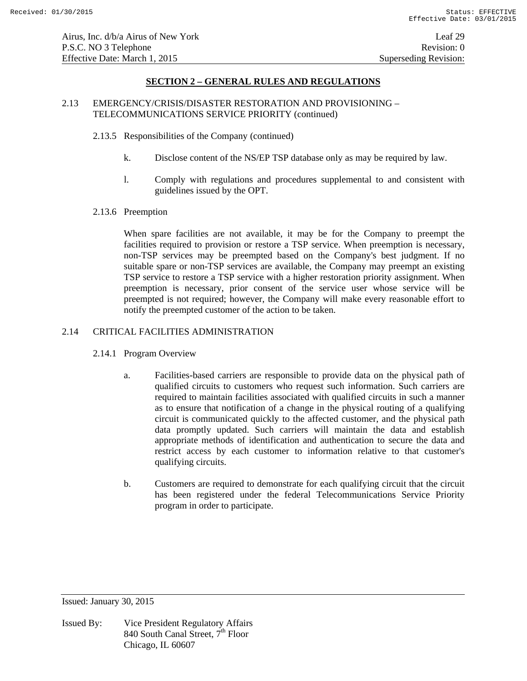# 2.13 EMERGENCY/CRISIS/DISASTER RESTORATION AND PROVISIONING – TELECOMMUNICATIONS SERVICE PRIORITY (continued)

- 2.13.5 Responsibilities of the Company (continued)
	- k. Disclose content of the NS/EP TSP database only as may be required by law.
	- l. Comply with regulations and procedures supplemental to and consistent with guidelines issued by the OPT.
- 2.13.6 Preemption

When spare facilities are not available, it may be for the Company to preempt the facilities required to provision or restore a TSP service. When preemption is necessary, non-TSP services may be preempted based on the Company's best judgment. If no suitable spare or non-TSP services are available, the Company may preempt an existing TSP service to restore a TSP service with a higher restoration priority assignment. When preemption is necessary, prior consent of the service user whose service will be preempted is not required; however, the Company will make every reasonable effort to notify the preempted customer of the action to be taken.

# 2.14 CRITICAL FACILITIES ADMINISTRATION

- 2.14.1 Program Overview
	- a. Facilities-based carriers are responsible to provide data on the physical path of qualified circuits to customers who request such information. Such carriers are required to maintain facilities associated with qualified circuits in such a manner as to ensure that notification of a change in the physical routing of a qualifying circuit is communicated quickly to the affected customer, and the physical path data promptly updated. Such carriers will maintain the data and establish appropriate methods of identification and authentication to secure the data and restrict access by each customer to information relative to that customer's qualifying circuits.
	- b. Customers are required to demonstrate for each qualifying circuit that the circuit has been registered under the federal Telecommunications Service Priority program in order to participate.

Issued: January 30, 2015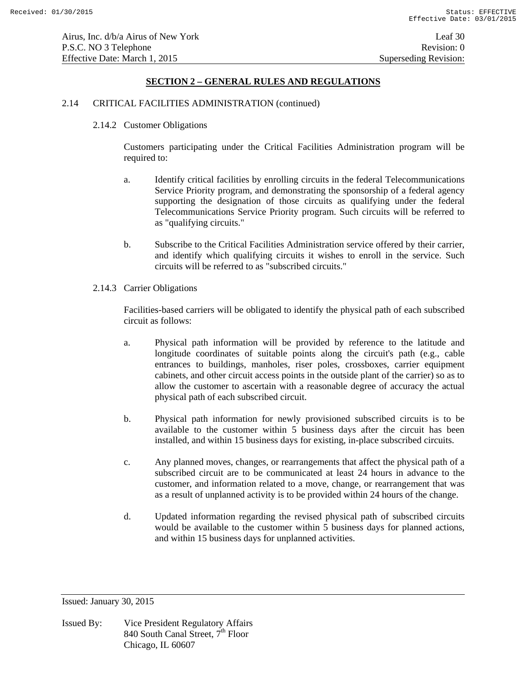# 2.14 CRITICAL FACILITIES ADMINISTRATION (continued)

2.14.2 Customer Obligations

Customers participating under the Critical Facilities Administration program will be required to:

- a. Identify critical facilities by enrolling circuits in the federal Telecommunications Service Priority program, and demonstrating the sponsorship of a federal agency supporting the designation of those circuits as qualifying under the federal Telecommunications Service Priority program. Such circuits will be referred to as "qualifying circuits."
- b. Subscribe to the Critical Facilities Administration service offered by their carrier, and identify which qualifying circuits it wishes to enroll in the service. Such circuits will be referred to as "subscribed circuits."
- 2.14.3 Carrier Obligations

Facilities-based carriers will be obligated to identify the physical path of each subscribed circuit as follows:

- a. Physical path information will be provided by reference to the latitude and longitude coordinates of suitable points along the circuit's path (e.g., cable entrances to buildings, manholes, riser poles, crossboxes, carrier equipment cabinets, and other circuit access points in the outside plant of the carrier) so as to allow the customer to ascertain with a reasonable degree of accuracy the actual physical path of each subscribed circuit.
- b. Physical path information for newly provisioned subscribed circuits is to be available to the customer within 5 business days after the circuit has been installed, and within 15 business days for existing, in-place subscribed circuits.
- c. Any planned moves, changes, or rearrangements that affect the physical path of a subscribed circuit are to be communicated at least 24 hours in advance to the customer, and information related to a move, change, or rearrangement that was as a result of unplanned activity is to be provided within 24 hours of the change.
- d. Updated information regarding the revised physical path of subscribed circuits would be available to the customer within 5 business days for planned actions, and within 15 business days for unplanned activities.

Issued: January 30, 2015

Issued By: Vice President Regulatory Affairs 840 South Canal Street,  $7^{\text{th}}$  Floor Chicago, IL 60607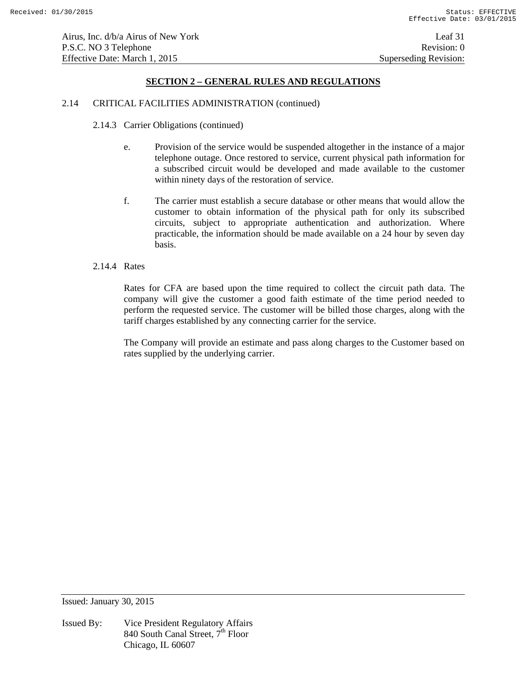### 2.14 CRITICAL FACILITIES ADMINISTRATION (continued)

- 2.14.3 Carrier Obligations (continued)
	- e. Provision of the service would be suspended altogether in the instance of a major telephone outage. Once restored to service, current physical path information for a subscribed circuit would be developed and made available to the customer within ninety days of the restoration of service.
	- f. The carrier must establish a secure database or other means that would allow the customer to obtain information of the physical path for only its subscribed circuits, subject to appropriate authentication and authorization. Where practicable, the information should be made available on a 24 hour by seven day basis.

### 2.14.4 Rates

Rates for CFA are based upon the time required to collect the circuit path data. The company will give the customer a good faith estimate of the time period needed to perform the requested service. The customer will be billed those charges, along with the tariff charges established by any connecting carrier for the service.

The Company will provide an estimate and pass along charges to the Customer based on rates supplied by the underlying carrier.

Issued: January 30, 2015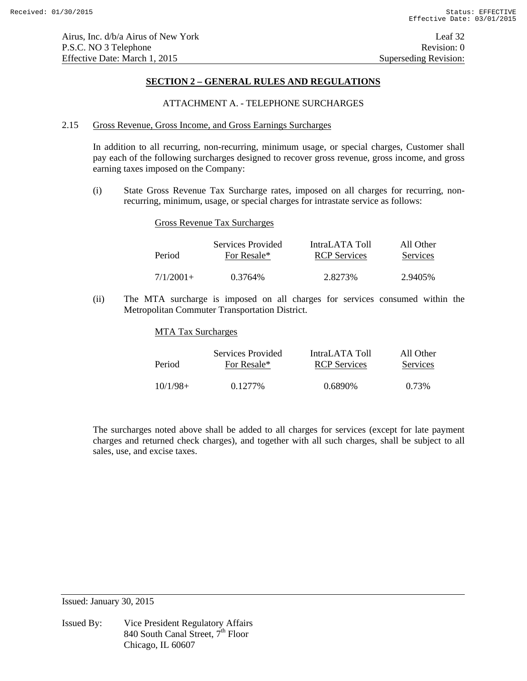## ATTACHMENT A. - TELEPHONE SURCHARGES

### 2.15 Gross Revenue, Gross Income, and Gross Earnings Surcharges

In addition to all recurring, non-recurring, minimum usage, or special charges, Customer shall pay each of the following surcharges designed to recover gross revenue, gross income, and gross earning taxes imposed on the Company:

(i) State Gross Revenue Tax Surcharge rates, imposed on all charges for recurring, nonrecurring, minimum, usage, or special charges for intrastate service as follows:

### Gross Revenue Tax Surcharges

| Period      | Services Provided | IntraLATA Toll      | All Other |
|-------------|-------------------|---------------------|-----------|
|             | For Resale*       | <b>RCP</b> Services | Services  |
| $7/1/2001+$ | 0.3764%           | 2.8273%             | 2.9405%   |

(ii) The MTA surcharge is imposed on all charges for services consumed within the Metropolitan Commuter Transportation District.

#### MTA Tax Surcharges

| Period     | Services Provided | IntraLATA Toll      | All Other |
|------------|-------------------|---------------------|-----------|
|            | For Resale*       | <b>RCP</b> Services | Services  |
| $10/1/98+$ | 0.1277\%          | 0.6890\%            | 0.73%     |

The surcharges noted above shall be added to all charges for services (except for late payment charges and returned check charges), and together with all such charges, shall be subject to all sales, use, and excise taxes.

Issued: January 30, 2015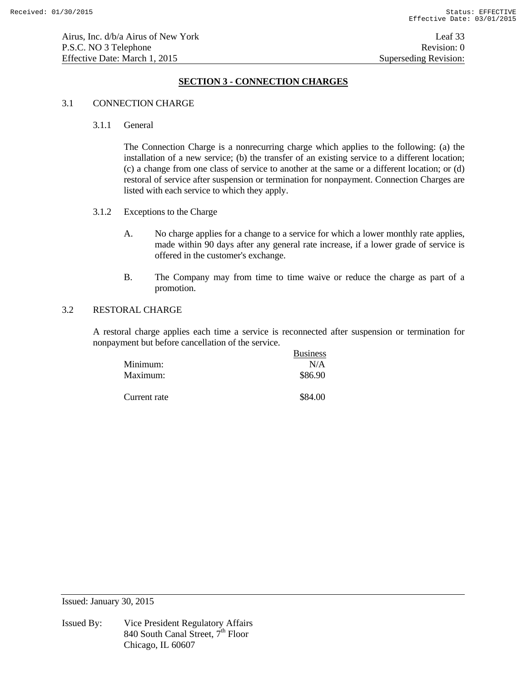# **SECTION 3 - CONNECTION CHARGES**

## 3.1 CONNECTION CHARGE

## 3.1.1 General

 The Connection Charge is a nonrecurring charge which applies to the following: (a) the installation of a new service; (b) the transfer of an existing service to a different location; (c) a change from one class of service to another at the same or a different location; or (d) restoral of service after suspension or termination for nonpayment. Connection Charges are listed with each service to which they apply.

- 3.1.2 Exceptions to the Charge
	- A. No charge applies for a change to a service for which a lower monthly rate applies, made within 90 days after any general rate increase, if a lower grade of service is offered in the customer's exchange.
	- B. The Company may from time to time waive or reduce the charge as part of a promotion.

# 3.2 RESTORAL CHARGE

 A restoral charge applies each time a service is reconnected after suspension or termination for nonpayment but before cancellation of the service.

|              | <b>Business</b> |
|--------------|-----------------|
| Minimum:     | N/A             |
| Maximum:     | \$86.90         |
| Current rate | \$84.00         |

Issued: January 30, 2015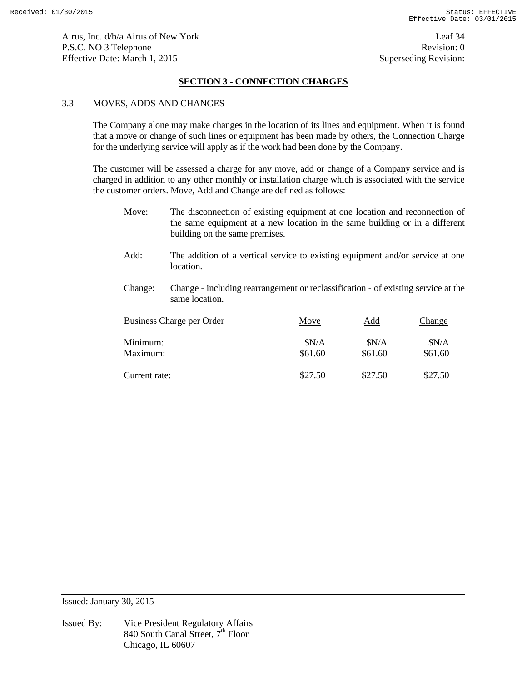# **SECTION 3 - CONNECTION CHARGES**

## 3.3 MOVES, ADDS AND CHANGES

 The Company alone may make changes in the location of its lines and equipment. When it is found that a move or change of such lines or equipment has been made by others, the Connection Charge for the underlying service will apply as if the work had been done by the Company.

 The customer will be assessed a charge for any move, add or change of a Company service and is charged in addition to any other monthly or installation charge which is associated with the service the customer orders. Move, Add and Change are defined as follows:

- Move: The disconnection of existing equipment at one location and reconnection of the same equipment at a new location in the same building or in a different building on the same premises.
- Add: The addition of a vertical service to existing equipment and/or service at one location.
- Change: Change including rearrangement or reclassification of existing service at the same location.

| Business Charge per Order | Move    | Add     | Change  |
|---------------------------|---------|---------|---------|
| Minimum:                  | SN/A    | SN/A    | SN/A    |
| Maximum:                  | \$61.60 | \$61.60 | \$61.60 |
| Current rate:             | \$27.50 | \$27.50 | \$27.50 |

Issued: January 30, 2015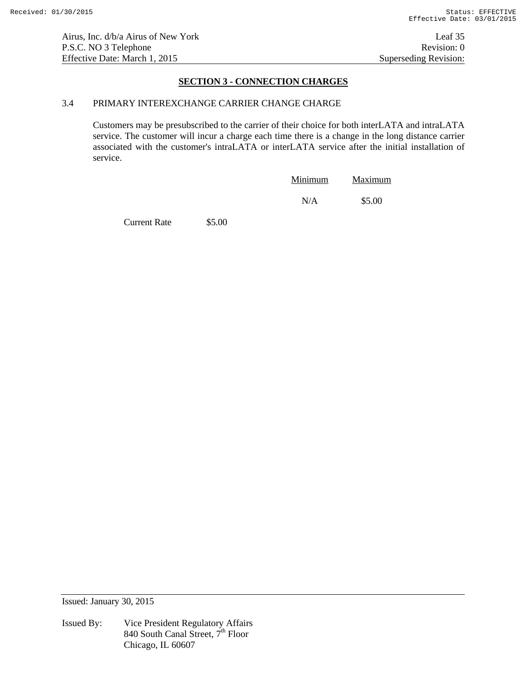# **SECTION 3 - CONNECTION CHARGES**

## 3.4 PRIMARY INTEREXCHANGE CARRIER CHANGE CHARGE

 Customers may be presubscribed to the carrier of their choice for both interLATA and intraLATA service. The customer will incur a charge each time there is a change in the long distance carrier associated with the customer's intraLATA or interLATA service after the initial installation of service.

| Minimum | Maximum |
|---------|---------|
| N/A     | \$5.00  |

Current Rate \$5.00

Issued: January 30, 2015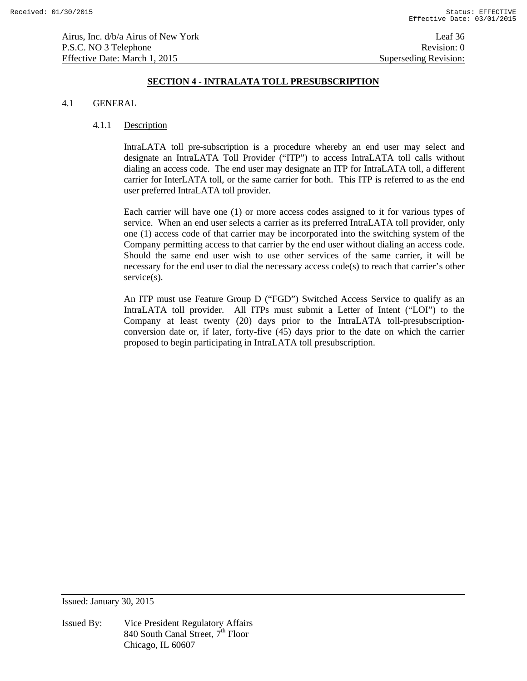# **SECTION 4 - INTRALATA TOLL PRESUBSCRIPTION**

#### 4.1 GENERAL

#### 4.1.1 Description

IntraLATA toll pre-subscription is a procedure whereby an end user may select and designate an IntraLATA Toll Provider ("ITP") to access IntraLATA toll calls without dialing an access code. The end user may designate an ITP for IntraLATA toll, a different carrier for InterLATA toll, or the same carrier for both. This ITP is referred to as the end user preferred IntraLATA toll provider.

Each carrier will have one (1) or more access codes assigned to it for various types of service. When an end user selects a carrier as its preferred IntraLATA toll provider, only one (1) access code of that carrier may be incorporated into the switching system of the Company permitting access to that carrier by the end user without dialing an access code. Should the same end user wish to use other services of the same carrier, it will be necessary for the end user to dial the necessary access code(s) to reach that carrier's other service(s).

An ITP must use Feature Group D ("FGD") Switched Access Service to qualify as an IntraLATA toll provider. All ITPs must submit a Letter of Intent ("LOI") to the Company at least twenty (20) days prior to the IntraLATA toll-presubscriptionconversion date or, if later, forty-five (45) days prior to the date on which the carrier proposed to begin participating in IntraLATA toll presubscription.

Issued: January 30, 2015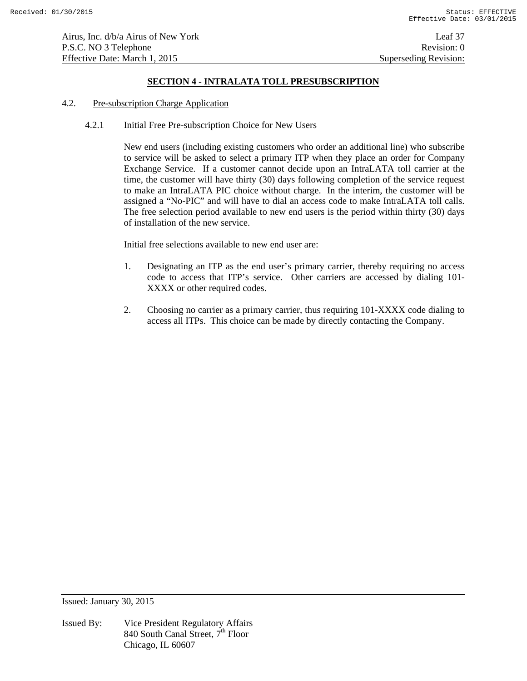Airus, Inc. d/b/a Airus of New York Leaf 37 P.S.C. NO 3 Telephone Revision: 0 Effective Date: March 1, 2015 Superseding Revision:

# **SECTION 4 - INTRALATA TOLL PRESUBSCRIPTION**

#### 4.2. Pre-subscription Charge Application

4.2.1 Initial Free Pre-subscription Choice for New Users

New end users (including existing customers who order an additional line) who subscribe to service will be asked to select a primary ITP when they place an order for Company Exchange Service. If a customer cannot decide upon an IntraLATA toll carrier at the time, the customer will have thirty (30) days following completion of the service request to make an IntraLATA PIC choice without charge. In the interim, the customer will be assigned a "No-PIC" and will have to dial an access code to make IntraLATA toll calls. The free selection period available to new end users is the period within thirty (30) days of installation of the new service.

Initial free selections available to new end user are:

- 1. Designating an ITP as the end user's primary carrier, thereby requiring no access code to access that ITP's service. Other carriers are accessed by dialing 101- XXXX or other required codes.
- 2. Choosing no carrier as a primary carrier, thus requiring 101-XXXX code dialing to access all ITPs. This choice can be made by directly contacting the Company.

Issued: January 30, 2015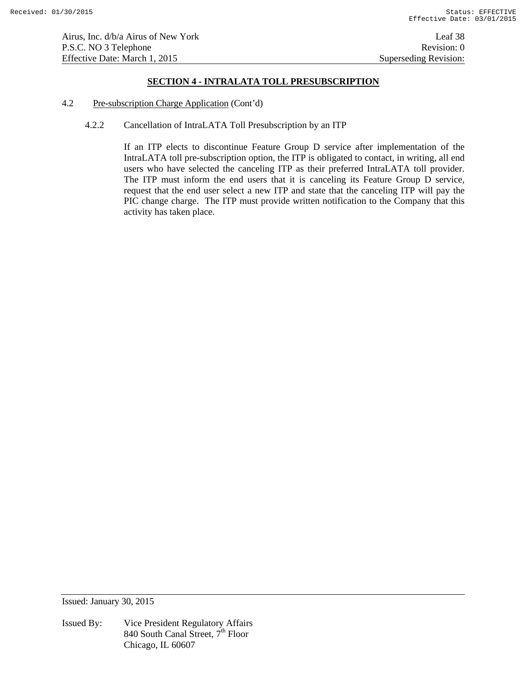# **SECTION 4 - INTRALATA TOLL PRESUBSCRIPTION**

- 4.2 Pre-subscription Charge Application (Cont'd)
	- 4.2.2 Cancellation of IntraLATA Toll Presubscription by an ITP

If an ITP elects to discontinue Feature Group D service after implementation of the IntraLATA toll pre-subscription option, the ITP is obligated to contact, in writing, all end users who have selected the canceling ITP as their preferred IntraLATA toll provider. The ITP must inform the end users that it is canceling its Feature Group D service, request that the end user select a new ITP and state that the canceling ITP will pay the PIC change charge. The ITP must provide written notification to the Company that this activity has taken place.

Issued: January 30, 2015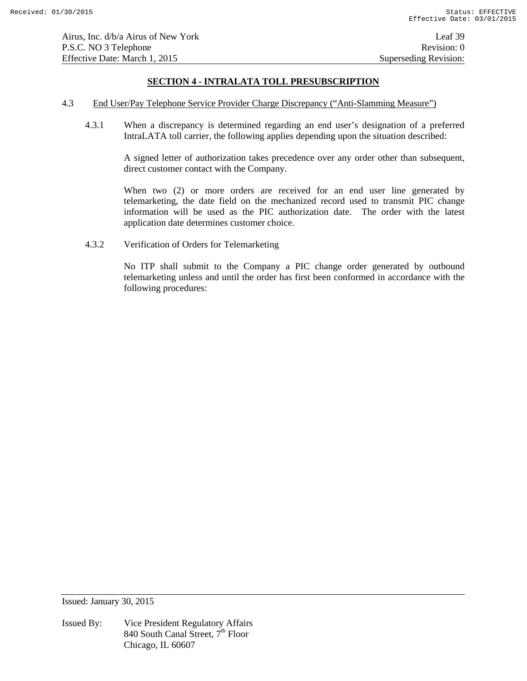# **SECTION 4 - INTRALATA TOLL PRESUBSCRIPTION**

- 4.3 End User/Pay Telephone Service Provider Charge Discrepancy ("Anti-Slamming Measure")
	- 4.3.1 When a discrepancy is determined regarding an end user's designation of a preferred IntraLATA toll carrier, the following applies depending upon the situation described:

A signed letter of authorization takes precedence over any order other than subsequent, direct customer contact with the Company.

When two (2) or more orders are received for an end user line generated by telemarketing, the date field on the mechanized record used to transmit PIC change information will be used as the PIC authorization date. The order with the latest application date determines customer choice.

4.3.2 Verification of Orders for Telemarketing

No ITP shall submit to the Company a PIC change order generated by outbound telemarketing unless and until the order has first been conformed in accordance with the following procedures:

Issued: January 30, 2015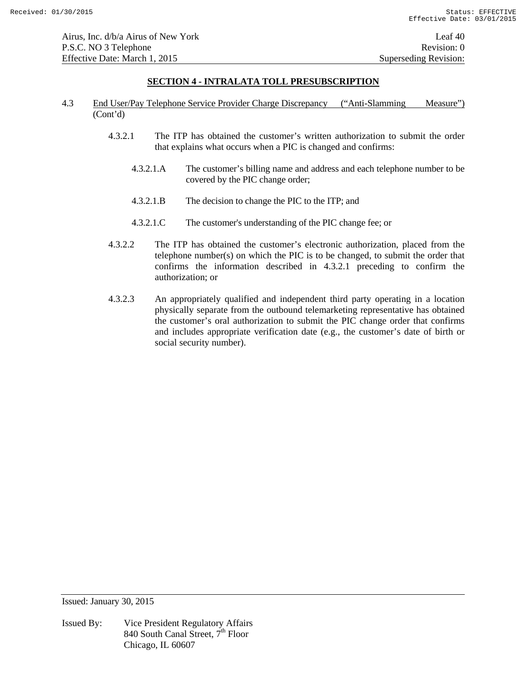# **SECTION 4 - INTRALATA TOLL PRESUBSCRIPTION**

- 4.3 End User/Pay Telephone Service Provider Charge Discrepancy ("Anti-Slamming Measure") (Cont'd)
	- 4.3.2.1 The ITP has obtained the customer's written authorization to submit the order that explains what occurs when a PIC is changed and confirms:
		- 4.3.2.1.A The customer's billing name and address and each telephone number to be covered by the PIC change order;
		- 4.3.2.1.B The decision to change the PIC to the ITP; and
		- 4.3.2.1.C The customer's understanding of the PIC change fee; or
	- 4.3.2.2 The ITP has obtained the customer's electronic authorization, placed from the telephone number(s) on which the PIC is to be changed, to submit the order that confirms the information described in 4.3.2.1 preceding to confirm the authorization; or
	- 4.3.2.3 An appropriately qualified and independent third party operating in a location physically separate from the outbound telemarketing representative has obtained the customer's oral authorization to submit the PIC change order that confirms and includes appropriate verification date (e.g., the customer's date of birth or social security number).

Issued: January 30, 2015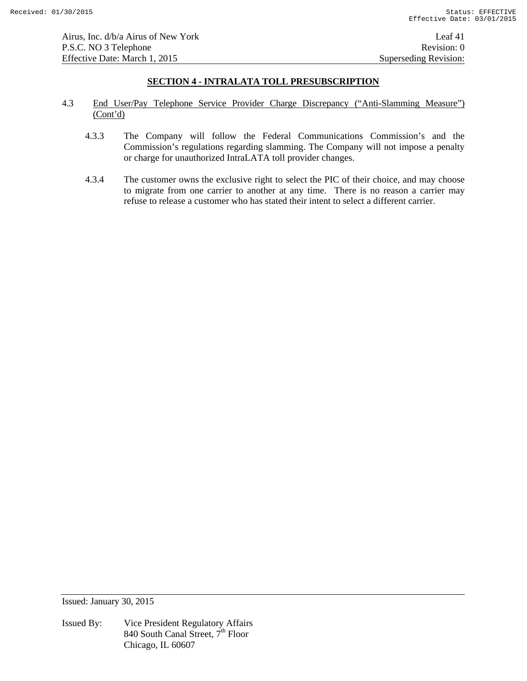Airus, Inc. d/b/a Airus of New York Leaf 41 P.S.C. NO 3 Telephone Revision: 0 Effective Date: March 1, 2015 Superseding Revision:

# **SECTION 4 - INTRALATA TOLL PRESUBSCRIPTION**

- 4.3 End User/Pay Telephone Service Provider Charge Discrepancy ("Anti-Slamming Measure") (Cont'd)
	- 4.3.3 The Company will follow the Federal Communications Commission's and the Commission's regulations regarding slamming. The Company will not impose a penalty or charge for unauthorized IntraLATA toll provider changes.
	- 4.3.4 The customer owns the exclusive right to select the PIC of their choice, and may choose to migrate from one carrier to another at any time. There is no reason a carrier may refuse to release a customer who has stated their intent to select a different carrier.

Issued: January 30, 2015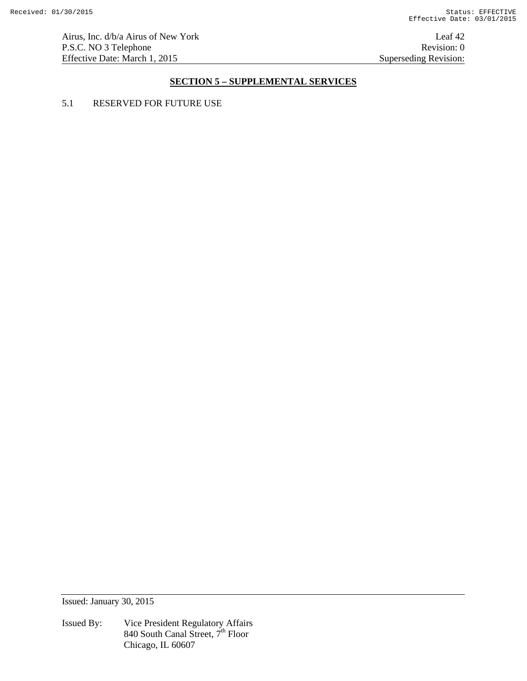Airus, Inc. d/b/a Airus of New York Leaf 42 P.S.C. NO 3 Telephone Revision: 0<br>Effective Date: March 1, 2015 Superseding Revision: 0 Effective Date: March 1, 2015

# **SECTION 5 – SUPPLEMENTAL SERVICES**

# 5.1 RESERVED FOR FUTURE USE

Issued: January 30, 2015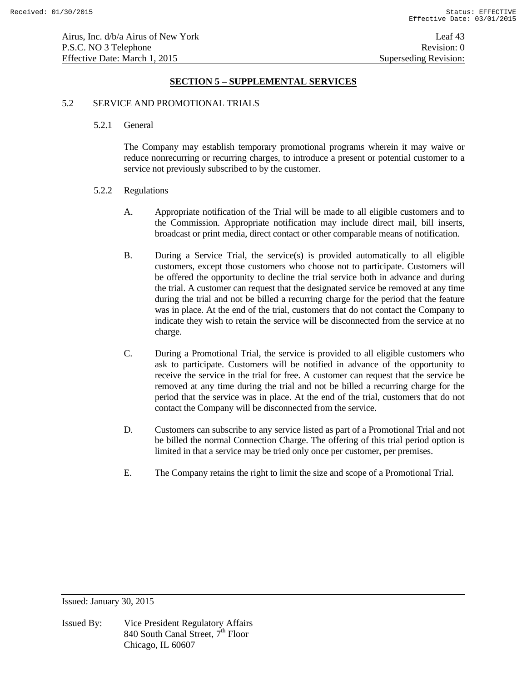## **SECTION 5 – SUPPLEMENTAL SERVICES**

#### 5.2 SERVICE AND PROMOTIONAL TRIALS

#### 5.2.1 General

 The Company may establish temporary promotional programs wherein it may waive or reduce nonrecurring or recurring charges, to introduce a present or potential customer to a service not previously subscribed to by the customer.

#### 5.2.2 Regulations

- A. Appropriate notification of the Trial will be made to all eligible customers and to the Commission. Appropriate notification may include direct mail, bill inserts, broadcast or print media, direct contact or other comparable means of notification.
- B. During a Service Trial, the service(s) is provided automatically to all eligible customers, except those customers who choose not to participate. Customers will be offered the opportunity to decline the trial service both in advance and during the trial. A customer can request that the designated service be removed at any time during the trial and not be billed a recurring charge for the period that the feature was in place. At the end of the trial, customers that do not contact the Company to indicate they wish to retain the service will be disconnected from the service at no charge.
- C. During a Promotional Trial, the service is provided to all eligible customers who ask to participate. Customers will be notified in advance of the opportunity to receive the service in the trial for free. A customer can request that the service be removed at any time during the trial and not be billed a recurring charge for the period that the service was in place. At the end of the trial, customers that do not contact the Company will be disconnected from the service.
- D. Customers can subscribe to any service listed as part of a Promotional Trial and not be billed the normal Connection Charge. The offering of this trial period option is limited in that a service may be tried only once per customer, per premises.
- E. The Company retains the right to limit the size and scope of a Promotional Trial.

Issued: January 30, 2015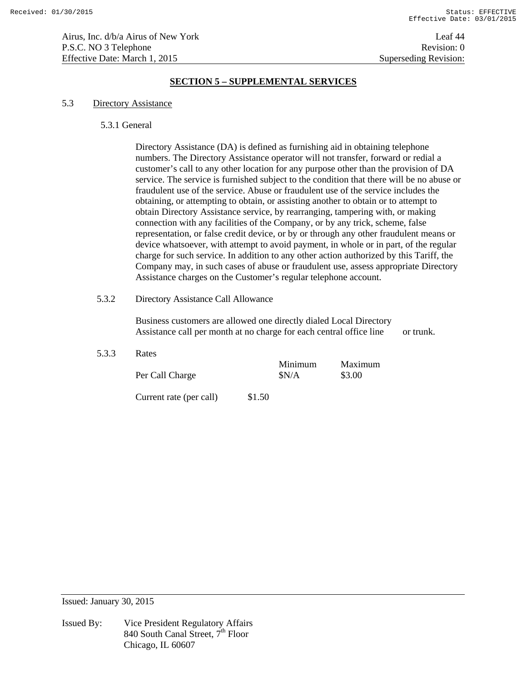Airus, Inc. d/b/a Airus of New York Leaf 44 P.S.C. NO 3 Telephone Revision: 0 Effective Date: March 1, 2015 Superseding Revision:

# **SECTION 5 – SUPPLEMENTAL SERVICES**

#### 5.3 Directory Assistance

#### 5.3.1 General

 Directory Assistance (DA) is defined as furnishing aid in obtaining telephone numbers. The Directory Assistance operator will not transfer, forward or redial a customer's call to any other location for any purpose other than the provision of DA service. The service is furnished subject to the condition that there will be no abuse or fraudulent use of the service. Abuse or fraudulent use of the service includes the obtaining, or attempting to obtain, or assisting another to obtain or to attempt to obtain Directory Assistance service, by rearranging, tampering with, or making connection with any facilities of the Company, or by any trick, scheme, false representation, or false credit device, or by or through any other fraudulent means or device whatsoever, with attempt to avoid payment, in whole or in part, of the regular charge for such service. In addition to any other action authorized by this Tariff, the Company may, in such cases of abuse or fraudulent use, assess appropriate Directory Assistance charges on the Customer's regular telephone account.

# 5.3.2 Directory Assistance Call Allowance

 Business customers are allowed one directly dialed Local Directory Assistance call per month at no charge for each central office line or trunk.

#### 5.3.3 Rates

| Per Call Charge         | Minimum<br>SN/A | Maximum<br>\$3.00 |
|-------------------------|-----------------|-------------------|
| Current rate (per call) | \$1.50          |                   |

Issued: January 30, 2015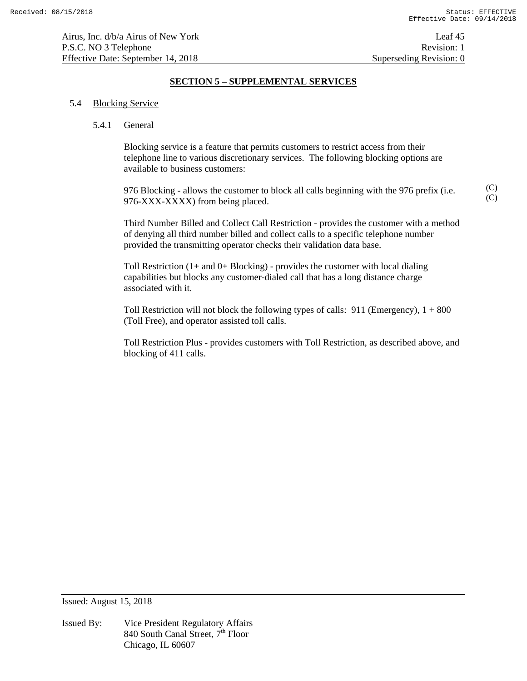(C) (C)

# **SECTION 5 – SUPPLEMENTAL SERVICES**

#### 5.4 Blocking Service

#### 5.4.1 General

 Blocking service is a feature that permits customers to restrict access from their telephone line to various discretionary services. The following blocking options are available to business customers:

 976 Blocking - allows the customer to block all calls beginning with the 976 prefix (i.e. 976-XXX-XXXX) from being placed.

 Third Number Billed and Collect Call Restriction - provides the customer with a method of denying all third number billed and collect calls to a specific telephone number provided the transmitting operator checks their validation data base.

Toll Restriction  $(1+$  and  $0+$  Blocking) - provides the customer with local dialing capabilities but blocks any customer-dialed call that has a long distance charge associated with it.

Toll Restriction will not block the following types of calls:  $911$  (Emergency),  $1 + 800$ (Toll Free), and operator assisted toll calls.

 Toll Restriction Plus - provides customers with Toll Restriction, as described above, and blocking of 411 calls.

Issued: August 15, 2018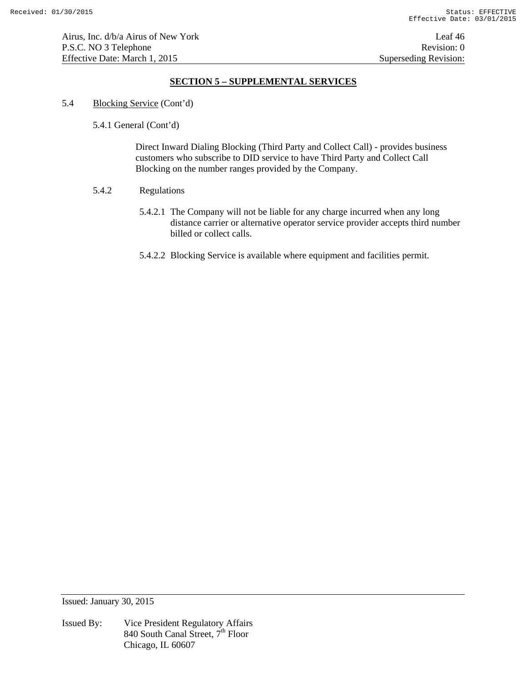# **SECTION 5 – SUPPLEMENTAL SERVICES**

5.4 Blocking Service (Cont'd)

5.4.1 General (Cont'd)

 Direct Inward Dialing Blocking (Third Party and Collect Call) - provides business customers who subscribe to DID service to have Third Party and Collect Call Blocking on the number ranges provided by the Company.

# 5.4.2 Regulations

- 5.4.2.1 The Company will not be liable for any charge incurred when any long distance carrier or alternative operator service provider accepts third number billed or collect calls.
- 5.4.2.2 Blocking Service is available where equipment and facilities permit.

Issued: January 30, 2015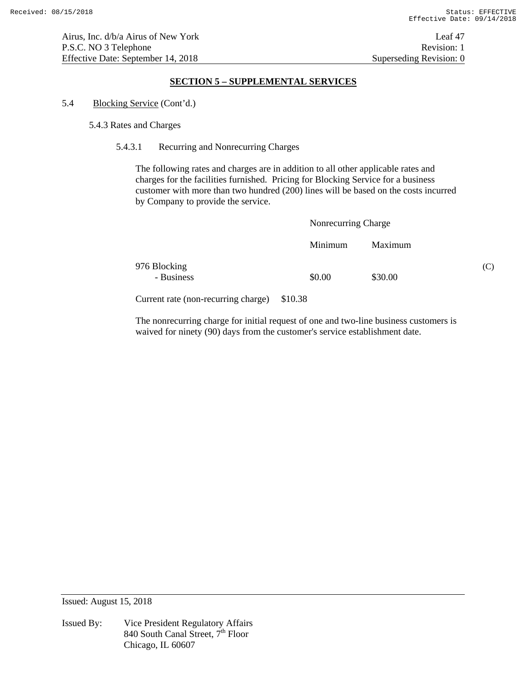# **SECTION 5 – SUPPLEMENTAL SERVICES**

### 5.4 Blocking Service (Cont'd.)

#### 5.4.3 Rates and Charges

### 5.4.3.1 Recurring and Nonrecurring Charges

 The following rates and charges are in addition to all other applicable rates and charges for the facilities furnished. Pricing for Blocking Service for a business customer with more than two hundred (200) lines will be based on the costs incurred by Company to provide the service.

|                            | Nonrecurring Charge |         |     |
|----------------------------|---------------------|---------|-----|
|                            | Minimum             | Maximum |     |
| 976 Blocking<br>- Business | \$0.00              | \$30.00 | (C) |

Current rate (non-recurring charge) \$10.38

 The nonrecurring charge for initial request of one and two-line business customers is waived for ninety (90) days from the customer's service establishment date.

Issued: August 15, 2018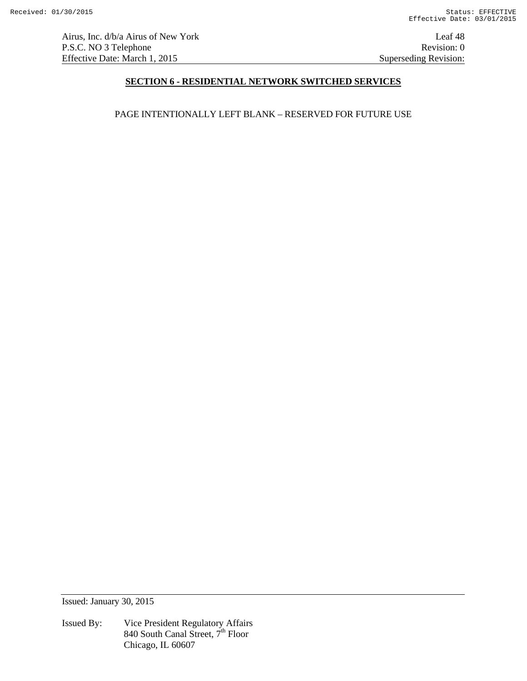Airus, Inc. d/b/a Airus of New York Leaf 48 P.S.C. NO 3 Telephone Revision: 0<br>Effective Date: March 1, 2015 Superseding Revision: 0 Effective Date: March 1, 2015

# **SECTION 6 - RESIDENTIAL NETWORK SWITCHED SERVICES**

PAGE INTENTIONALLY LEFT BLANK – RESERVED FOR FUTURE USE

Issued: January 30, 2015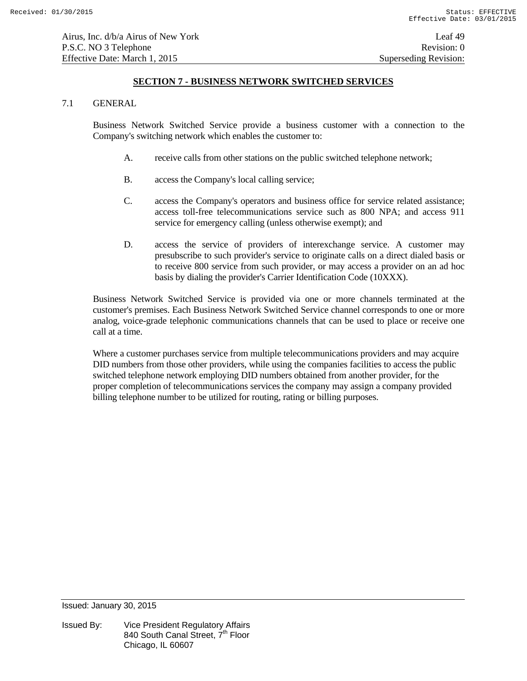#### 7.1 GENERAL

 Business Network Switched Service provide a business customer with a connection to the Company's switching network which enables the customer to:

- A. receive calls from other stations on the public switched telephone network;
- B. access the Company's local calling service;
- C. access the Company's operators and business office for service related assistance; access toll-free telecommunications service such as 800 NPA; and access 911 service for emergency calling (unless otherwise exempt); and
- D. access the service of providers of interexchange service. A customer may presubscribe to such provider's service to originate calls on a direct dialed basis or to receive 800 service from such provider, or may access a provider on an ad hoc basis by dialing the provider's Carrier Identification Code (10XXX).

 Business Network Switched Service is provided via one or more channels terminated at the customer's premises. Each Business Network Switched Service channel corresponds to one or more analog, voice-grade telephonic communications channels that can be used to place or receive one call at a time.

Where a customer purchases service from multiple telecommunications providers and may acquire DID numbers from those other providers, while using the companies facilities to access the public switched telephone network employing DID numbers obtained from another provider, for the proper completion of telecommunications services the company may assign a company provided billing telephone number to be utilized for routing, rating or billing purposes.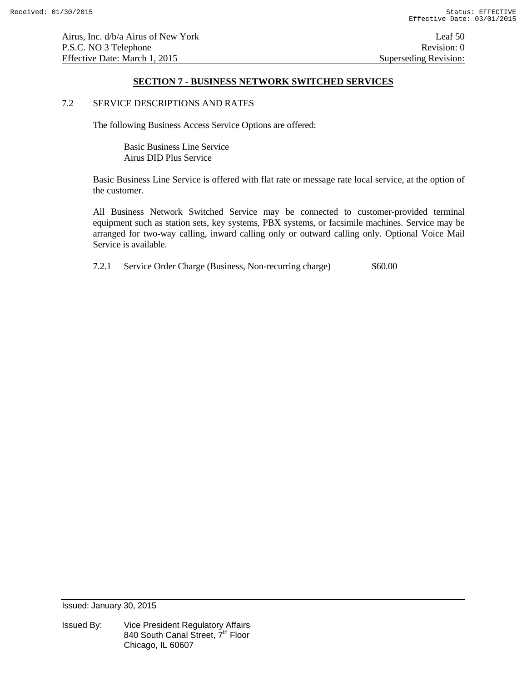Airus, Inc. d/b/a Airus of New York Leaf 50 P.S.C. NO 3 Telephone Revision: 0 Effective Date: March 1, 2015 Superseding Revision:

# **SECTION 7 - BUSINESS NETWORK SWITCHED SERVICES**

#### 7.2 SERVICE DESCRIPTIONS AND RATES

The following Business Access Service Options are offered:

 Basic Business Line Service Airus DID Plus Service

Basic Business Line Service is offered with flat rate or message rate local service, at the option of the customer.

 All Business Network Switched Service may be connected to customer-provided terminal equipment such as station sets, key systems, PBX systems, or facsimile machines. Service may be arranged for two-way calling, inward calling only or outward calling only. Optional Voice Mail Service is available.

7.2.1 Service Order Charge (Business, Non-recurring charge) \$60.00

Issued: January 30, 2015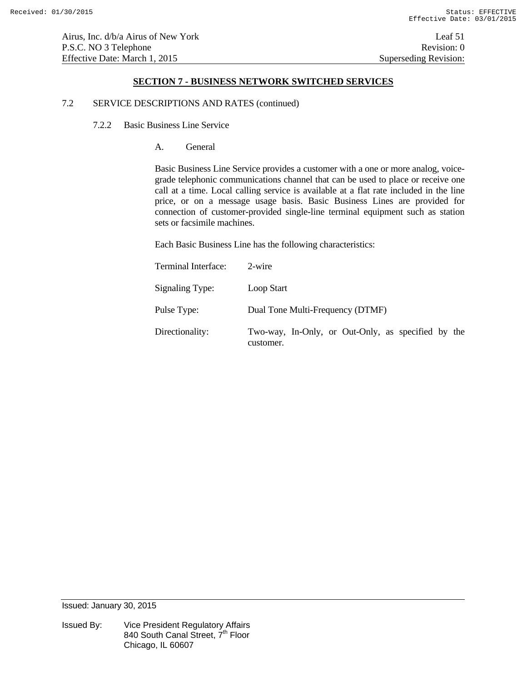#### 7.2 SERVICE DESCRIPTIONS AND RATES (continued)

7.2.2 Basic Business Line Service

A. General

 Basic Business Line Service provides a customer with a one or more analog, voicegrade telephonic communications channel that can be used to place or receive one call at a time. Local calling service is available at a flat rate included in the line price, or on a message usage basis. Basic Business Lines are provided for connection of customer-provided single-line terminal equipment such as station sets or facsimile machines.

Each Basic Business Line has the following characteristics:

| Terminal Interface: | 2-wire                                                          |
|---------------------|-----------------------------------------------------------------|
| Signaling Type:     | Loop Start                                                      |
| Pulse Type:         | Dual Tone Multi-Frequency (DTMF)                                |
| Directionality:     | Two-way, In-Only, or Out-Only, as specified by the<br>customer. |

Issued: January 30, 2015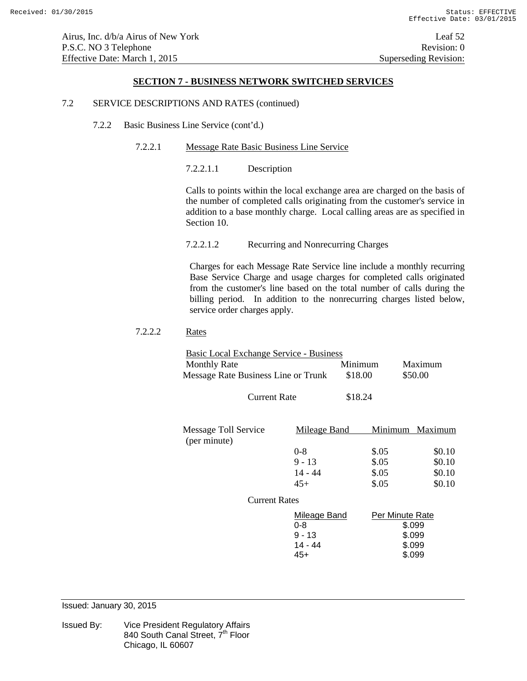#### 7.2 SERVICE DESCRIPTIONS AND RATES (continued)

- 7.2.2 Basic Business Line Service (cont'd.)
	- 7.2.2.1 Message Rate Basic Business Line Service

7.2.2.1.1 Description

Calls to points within the local exchange area are charged on the basis of the number of completed calls originating from the customer's service in addition to a base monthly charge. Local calling areas are as specified in Section 10.

7.2.2.1.2 Recurring and Nonrecurring Charges

Charges for each Message Rate Service line include a monthly recurring Base Service Charge and usage charges for completed calls originated from the customer's line based on the total number of calls during the billing period. In addition to the nonrecurring charges listed below, service order charges apply.

# 7.2.2.2 Rates

| Basic Local Exchange Service - Business |         |         |
|-----------------------------------------|---------|---------|
| <b>Monthly Rate</b>                     | Minimum | Maximum |
| Message Rate Business Line or Trunk     | \$18.00 | \$50.00 |

| <b>Current Rate</b> | \$18.24 |
|---------------------|---------|
|---------------------|---------|

| Message Toll Service<br>(per minute) | Mileage Band |       | Minimum Maximum |
|--------------------------------------|--------------|-------|-----------------|
|                                      | $0 - 8$      | \$.05 | \$0.10          |
|                                      | $9 - 13$     | \$.05 | \$0.10          |
|                                      | 14 - 44      | \$.05 | \$0.10          |
|                                      | 45+          | \$.05 | \$0.10          |

#### Current Rates

| Mileage Band | Per Minute Rate |
|--------------|-----------------|
| 0-8          | \$.099          |
| $9 - 13$     | \$.099          |
| 14 - 44      | \$.099          |
| 45+          | \$.099          |

Issued: January 30, 2015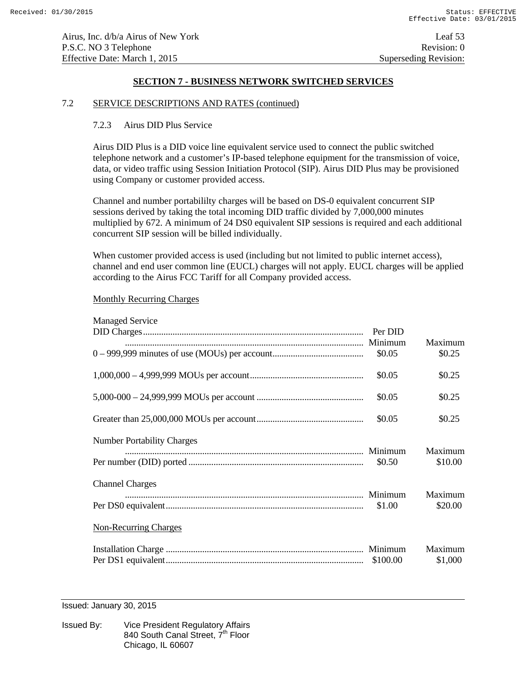### 7.2 SERVICE DESCRIPTIONS AND RATES (continued)

### 7.2.3 Airus DID Plus Service

Airus DID Plus is a DID voice line equivalent service used to connect the public switched telephone network and a customer's IP-based telephone equipment for the transmission of voice, data, or video traffic using Session Initiation Protocol (SIP). Airus DID Plus may be provisioned using Company or customer provided access.

Channel and number portabililty charges will be based on DS-0 equivalent concurrent SIP sessions derived by taking the total incoming DID traffic divided by 7,000,000 minutes multiplied by 672. A minimum of 24 DS0 equivalent SIP sessions is required and each additional concurrent SIP session will be billed individually.

When customer provided access is used (including but not limited to public internet access), channel and end user common line (EUCL) charges will not apply. EUCL charges will be applied according to the Airus FCC Tariff for all Company provided access.

#### Monthly Recurring Charges

| <b>Managed Service</b>            |                    |                    |
|-----------------------------------|--------------------|--------------------|
|                                   | Per DID<br>Minimum | Maximum            |
|                                   | \$0.05             | \$0.25             |
|                                   | \$0.05             | \$0.25             |
|                                   | \$0.05             | \$0.25             |
|                                   | \$0.05             | \$0.25             |
| <b>Number Portability Charges</b> |                    |                    |
|                                   | \$0.50             | Maximum<br>\$10.00 |
| <b>Channel Charges</b>            |                    |                    |
|                                   | Minimum<br>\$1.00  | Maximum<br>\$20.00 |
| <b>Non-Recurring Charges</b>      |                    |                    |
|                                   |                    | Maximum            |
|                                   | \$100.00           | \$1,000            |

Issued: January 30, 2015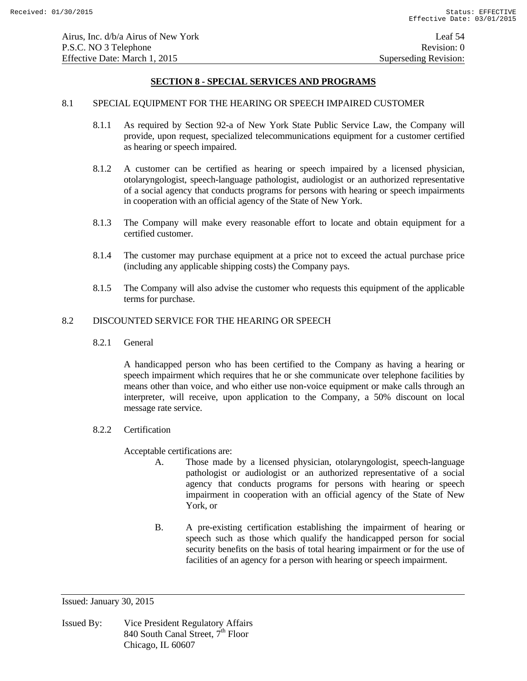### 8.1 SPECIAL EQUIPMENT FOR THE HEARING OR SPEECH IMPAIRED CUSTOMER

- 8.1.1 As required by Section 92-a of New York State Public Service Law, the Company will provide, upon request, specialized telecommunications equipment for a customer certified as hearing or speech impaired.
- 8.1.2 A customer can be certified as hearing or speech impaired by a licensed physician, otolaryngologist, speech-language pathologist, audiologist or an authorized representative of a social agency that conducts programs for persons with hearing or speech impairments in cooperation with an official agency of the State of New York.
- 8.1.3 The Company will make every reasonable effort to locate and obtain equipment for a certified customer.
- 8.1.4 The customer may purchase equipment at a price not to exceed the actual purchase price (including any applicable shipping costs) the Company pays.
- 8.1.5 The Company will also advise the customer who requests this equipment of the applicable terms for purchase.

# 8.2 DISCOUNTED SERVICE FOR THE HEARING OR SPEECH

8.2.1 General

 A handicapped person who has been certified to the Company as having a hearing or speech impairment which requires that he or she communicate over telephone facilities by means other than voice, and who either use non-voice equipment or make calls through an interpreter, will receive, upon application to the Company, a 50% discount on local message rate service.

8.2.2 Certification

Acceptable certifications are:

- A. Those made by a licensed physician, otolaryngologist, speech-language pathologist or audiologist or an authorized representative of a social agency that conducts programs for persons with hearing or speech impairment in cooperation with an official agency of the State of New York, or
- B. A pre-existing certification establishing the impairment of hearing or speech such as those which qualify the handicapped person for social security benefits on the basis of total hearing impairment or for the use of facilities of an agency for a person with hearing or speech impairment.

Issued: January 30, 2015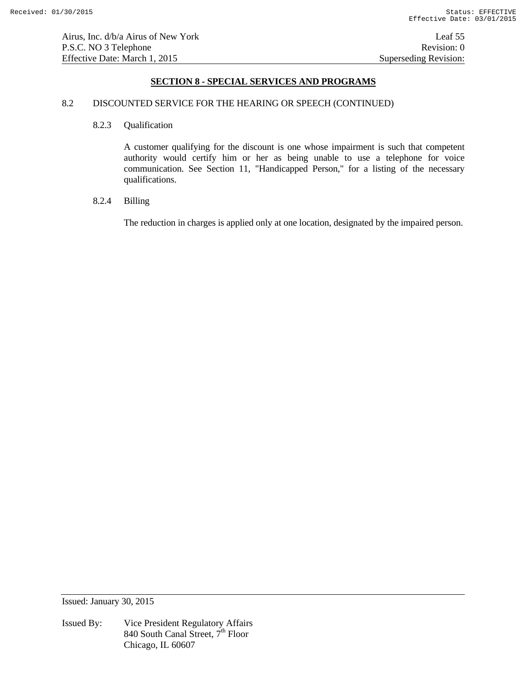### 8.2 DISCOUNTED SERVICE FOR THE HEARING OR SPEECH (CONTINUED)

#### 8.2.3 Qualification

 A customer qualifying for the discount is one whose impairment is such that competent authority would certify him or her as being unable to use a telephone for voice communication. See Section 11, "Handicapped Person," for a listing of the necessary qualifications.

# 8.2.4 Billing

The reduction in charges is applied only at one location, designated by the impaired person.

Issued: January 30, 2015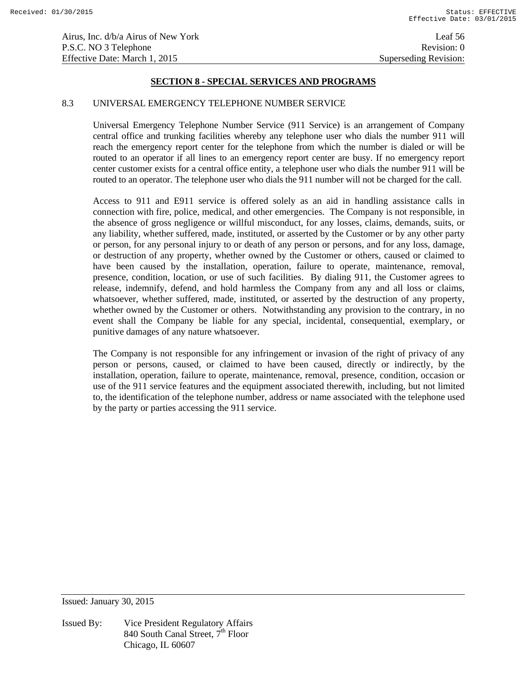### 8.3 UNIVERSAL EMERGENCY TELEPHONE NUMBER SERVICE

 Universal Emergency Telephone Number Service (911 Service) is an arrangement of Company central office and trunking facilities whereby any telephone user who dials the number 911 will reach the emergency report center for the telephone from which the number is dialed or will be routed to an operator if all lines to an emergency report center are busy. If no emergency report center customer exists for a central office entity, a telephone user who dials the number 911 will be routed to an operator. The telephone user who dials the 911 number will not be charged for the call.

Access to 911 and E911 service is offered solely as an aid in handling assistance calls in connection with fire, police, medical, and other emergencies. The Company is not responsible, in the absence of gross negligence or willful misconduct, for any losses, claims, demands, suits, or any liability, whether suffered, made, instituted, or asserted by the Customer or by any other party or person, for any personal injury to or death of any person or persons, and for any loss, damage, or destruction of any property, whether owned by the Customer or others, caused or claimed to have been caused by the installation, operation, failure to operate, maintenance, removal, presence, condition, location, or use of such facilities. By dialing 911, the Customer agrees to release, indemnify, defend, and hold harmless the Company from any and all loss or claims, whatsoever, whether suffered, made, instituted, or asserted by the destruction of any property, whether owned by the Customer or others. Notwithstanding any provision to the contrary, in no event shall the Company be liable for any special, incidental, consequential, exemplary, or punitive damages of any nature whatsoever.

The Company is not responsible for any infringement or invasion of the right of privacy of any person or persons, caused, or claimed to have been caused, directly or indirectly, by the installation, operation, failure to operate, maintenance, removal, presence, condition, occasion or use of the 911 service features and the equipment associated therewith, including, but not limited to, the identification of the telephone number, address or name associated with the telephone used by the party or parties accessing the 911 service.

Issued: January 30, 2015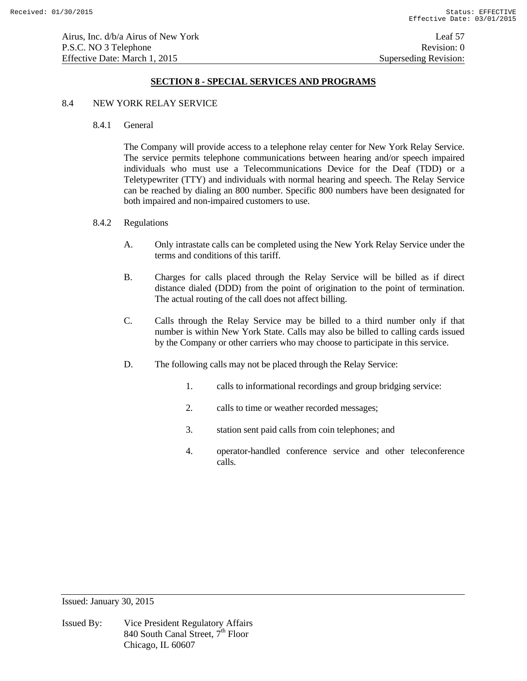### 8.4 NEW YORK RELAY SERVICE

8.4.1 General

 The Company will provide access to a telephone relay center for New York Relay Service. The service permits telephone communications between hearing and/or speech impaired individuals who must use a Telecommunications Device for the Deaf (TDD) or a Teletypewriter (TTY) and individuals with normal hearing and speech. The Relay Service can be reached by dialing an 800 number. Specific 800 numbers have been designated for both impaired and non-impaired customers to use.

# 8.4.2 Regulations

- A. Only intrastate calls can be completed using the New York Relay Service under the terms and conditions of this tariff.
- B. Charges for calls placed through the Relay Service will be billed as if direct distance dialed (DDD) from the point of origination to the point of termination. The actual routing of the call does not affect billing.
- C. Calls through the Relay Service may be billed to a third number only if that number is within New York State. Calls may also be billed to calling cards issued by the Company or other carriers who may choose to participate in this service.
- D. The following calls may not be placed through the Relay Service:
	- 1. calls to informational recordings and group bridging service:
	- 2. calls to time or weather recorded messages;
	- 3. station sent paid calls from coin telephones; and
	- 4. operator-handled conference service and other teleconference calls.

Issued: January 30, 2015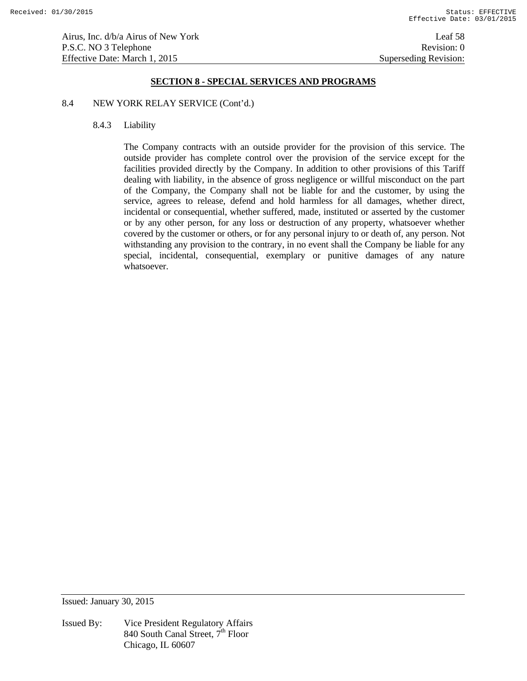# 8.4 NEW YORK RELAY SERVICE (Cont'd.)

#### 8.4.3 Liability

 The Company contracts with an outside provider for the provision of this service. The outside provider has complete control over the provision of the service except for the facilities provided directly by the Company. In addition to other provisions of this Tariff dealing with liability, in the absence of gross negligence or willful misconduct on the part of the Company, the Company shall not be liable for and the customer, by using the service, agrees to release, defend and hold harmless for all damages, whether direct, incidental or consequential, whether suffered, made, instituted or asserted by the customer or by any other person, for any loss or destruction of any property, whatsoever whether covered by the customer or others, or for any personal injury to or death of, any person. Not withstanding any provision to the contrary, in no event shall the Company be liable for any special, incidental, consequential, exemplary or punitive damages of any nature whatsoever.

Issued: January 30, 2015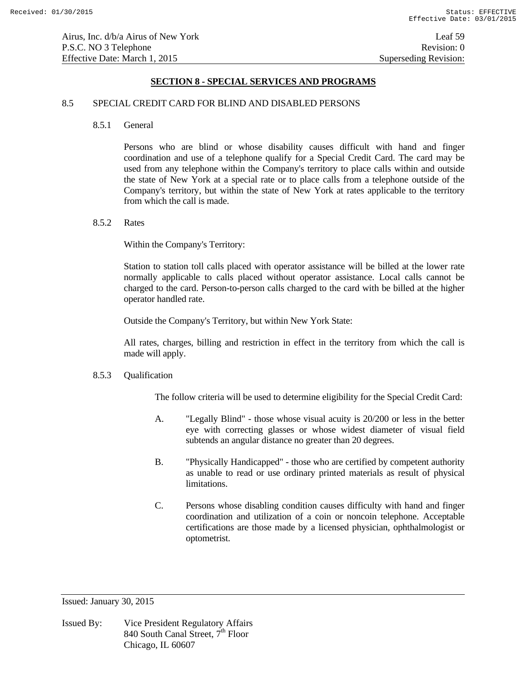#### 8.5 SPECIAL CREDIT CARD FOR BLIND AND DISABLED PERSONS

8.5.1 General

 Persons who are blind or whose disability causes difficult with hand and finger coordination and use of a telephone qualify for a Special Credit Card. The card may be used from any telephone within the Company's territory to place calls within and outside the state of New York at a special rate or to place calls from a telephone outside of the Company's territory, but within the state of New York at rates applicable to the territory from which the call is made.

8.5.2 Rates

Within the Company's Territory:

Station to station toll calls placed with operator assistance will be billed at the lower rate normally applicable to calls placed without operator assistance. Local calls cannot be charged to the card. Person-to-person calls charged to the card with be billed at the higher operator handled rate.

Outside the Company's Territory, but within New York State:

All rates, charges, billing and restriction in effect in the territory from which the call is made will apply.

### 8.5.3 Qualification

The follow criteria will be used to determine eligibility for the Special Credit Card:

- A. "Legally Blind" those whose visual acuity is 20/200 or less in the better eye with correcting glasses or whose widest diameter of visual field subtends an angular distance no greater than 20 degrees.
- B. "Physically Handicapped" those who are certified by competent authority as unable to read or use ordinary printed materials as result of physical limitations.
- C. Persons whose disabling condition causes difficulty with hand and finger coordination and utilization of a coin or noncoin telephone. Acceptable certifications are those made by a licensed physician, ophthalmologist or optometrist.

Issued: January 30, 2015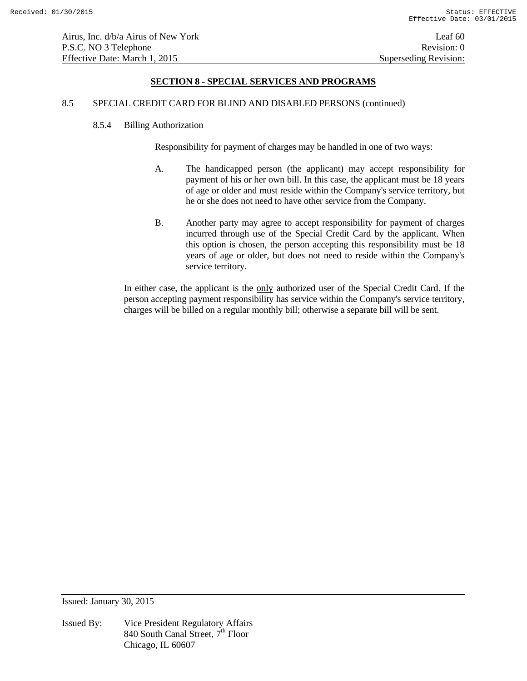# 8.5 SPECIAL CREDIT CARD FOR BLIND AND DISABLED PERSONS (continued)

#### 8.5.4 Billing Authorization

Responsibility for payment of charges may be handled in one of two ways:

- A. The handicapped person (the applicant) may accept responsibility for payment of his or her own bill. In this case, the applicant must be 18 years of age or older and must reside within the Company's service territory, but he or she does not need to have other service from the Company.
- B. Another party may agree to accept responsibility for payment of charges incurred through use of the Special Credit Card by the applicant. When this option is chosen, the person accepting this responsibility must be 18 years of age or older, but does not need to reside within the Company's service territory.

In either case, the applicant is the <u>only</u> authorized user of the Special Credit Card. If the person accepting payment responsibility has service within the Company's service territory, charges will be billed on a regular monthly bill; otherwise a separate bill will be sent.

Issued: January 30, 2015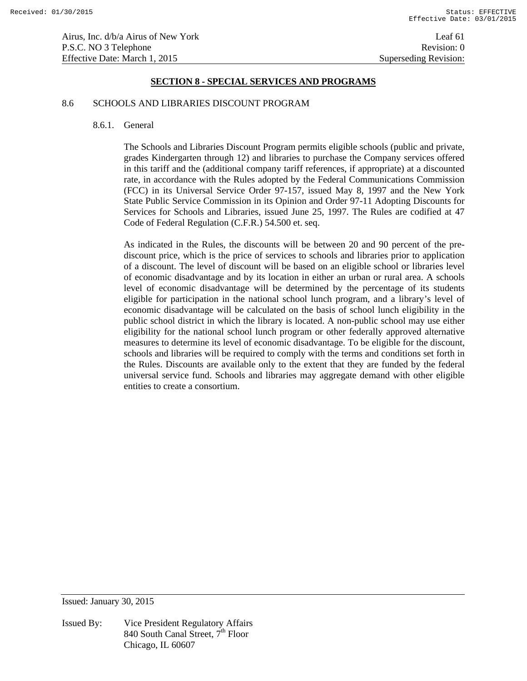#### 8.6 SCHOOLS AND LIBRARIES DISCOUNT PROGRAM

#### 8.6.1. General

The Schools and Libraries Discount Program permits eligible schools (public and private, grades Kindergarten through 12) and libraries to purchase the Company services offered in this tariff and the (additional company tariff references, if appropriate) at a discounted rate, in accordance with the Rules adopted by the Federal Communications Commission (FCC) in its Universal Service Order 97-157, issued May 8, 1997 and the New York State Public Service Commission in its Opinion and Order 97-11 Adopting Discounts for Services for Schools and Libraries, issued June 25, 1997. The Rules are codified at 47 Code of Federal Regulation (C.F.R.) 54.500 et. seq.

As indicated in the Rules, the discounts will be between 20 and 90 percent of the prediscount price, which is the price of services to schools and libraries prior to application of a discount. The level of discount will be based on an eligible school or libraries level of economic disadvantage and by its location in either an urban or rural area. A schools level of economic disadvantage will be determined by the percentage of its students eligible for participation in the national school lunch program, and a library's level of economic disadvantage will be calculated on the basis of school lunch eligibility in the public school district in which the library is located. A non-public school may use either eligibility for the national school lunch program or other federally approved alternative measures to determine its level of economic disadvantage. To be eligible for the discount, schools and libraries will be required to comply with the terms and conditions set forth in the Rules. Discounts are available only to the extent that they are funded by the federal universal service fund. Schools and libraries may aggregate demand with other eligible entities to create a consortium.

Issued: January 30, 2015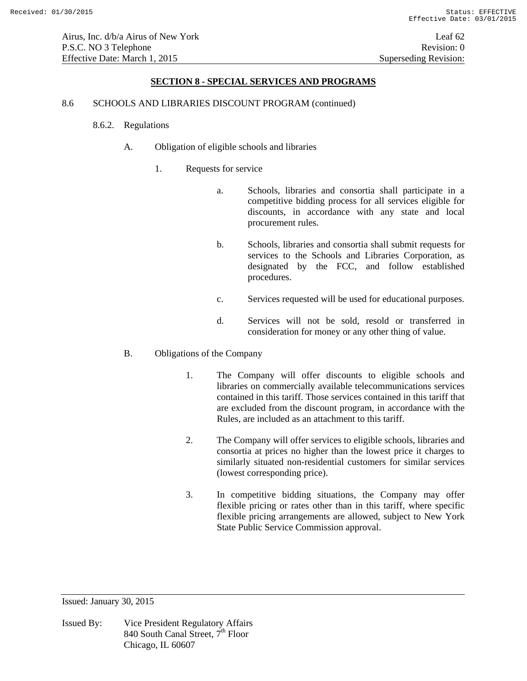Airus, Inc. d/b/a Airus of New York Leaf 62 P.S.C. NO 3 Telephone Revision: 0 Effective Date: March 1, 2015 Superseding Revision:

#### **SECTION 8 - SPECIAL SERVICES AND PROGRAMS**

#### 8.6 SCHOOLS AND LIBRARIES DISCOUNT PROGRAM (continued)

- 8.6.2. Regulations
	- A. Obligation of eligible schools and libraries
		- 1. Requests for service
			- a. Schools, libraries and consortia shall participate in a competitive bidding process for all services eligible for discounts, in accordance with any state and local procurement rules.
			- b. Schools, libraries and consortia shall submit requests for services to the Schools and Libraries Corporation, as designated by the FCC, and follow established procedures.
			- c. Services requested will be used for educational purposes.
			- d. Services will not be sold, resold or transferred in consideration for money or any other thing of value.
	- B. Obligations of the Company
		- 1. The Company will offer discounts to eligible schools and libraries on commercially available telecommunications services contained in this tariff. Those services contained in this tariff that are excluded from the discount program, in accordance with the Rules, are included as an attachment to this tariff.
		- 2. The Company will offer services to eligible schools, libraries and consortia at prices no higher than the lowest price it charges to similarly situated non-residential customers for similar services (lowest corresponding price).
		- 3. In competitive bidding situations, the Company may offer flexible pricing or rates other than in this tariff, where specific flexible pricing arrangements are allowed, subject to New York State Public Service Commission approval.

Issued: January 30, 2015

Issued By: Vice President Regulatory Affairs 840 South Canal Street,  $7^{\text{th}}$  Floor Chicago, IL 60607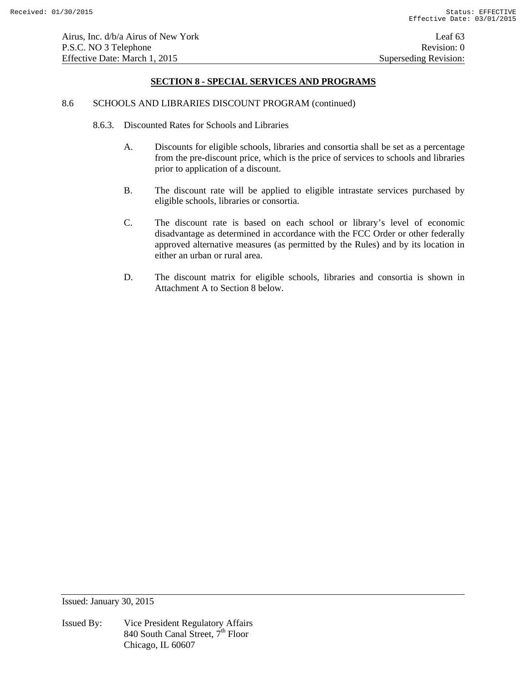#### 8.6 SCHOOLS AND LIBRARIES DISCOUNT PROGRAM (continued)

- 8.6.3. Discounted Rates for Schools and Libraries
	- A. Discounts for eligible schools, libraries and consortia shall be set as a percentage from the pre-discount price, which is the price of services to schools and libraries prior to application of a discount.
	- B. The discount rate will be applied to eligible intrastate services purchased by eligible schools, libraries or consortia.
	- C. The discount rate is based on each school or library's level of economic disadvantage as determined in accordance with the FCC Order or other federally approved alternative measures (as permitted by the Rules) and by its location in either an urban or rural area.
	- D. The discount matrix for eligible schools, libraries and consortia is shown in Attachment A to Section 8 below.

Issued: January 30, 2015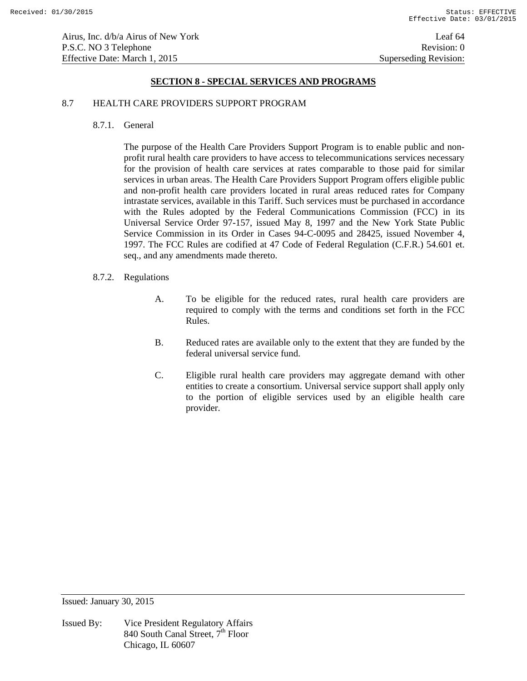#### 8.7 HEALTH CARE PROVIDERS SUPPORT PROGRAM

8.7.1. General

The purpose of the Health Care Providers Support Program is to enable public and nonprofit rural health care providers to have access to telecommunications services necessary for the provision of health care services at rates comparable to those paid for similar services in urban areas. The Health Care Providers Support Program offers eligible public and non-profit health care providers located in rural areas reduced rates for Company intrastate services, available in this Tariff. Such services must be purchased in accordance with the Rules adopted by the Federal Communications Commission (FCC) in its Universal Service Order 97-157, issued May 8, 1997 and the New York State Public Service Commission in its Order in Cases 94-C-0095 and 28425, issued November 4, 1997. The FCC Rules are codified at 47 Code of Federal Regulation (C.F.R.) 54.601 et. seq., and any amendments made thereto.

#### 8.7.2. Regulations

- A. To be eligible for the reduced rates, rural health care providers are required to comply with the terms and conditions set forth in the FCC Rules.
- B. Reduced rates are available only to the extent that they are funded by the federal universal service fund.
- C. Eligible rural health care providers may aggregate demand with other entities to create a consortium. Universal service support shall apply only to the portion of eligible services used by an eligible health care provider.

Issued: January 30, 2015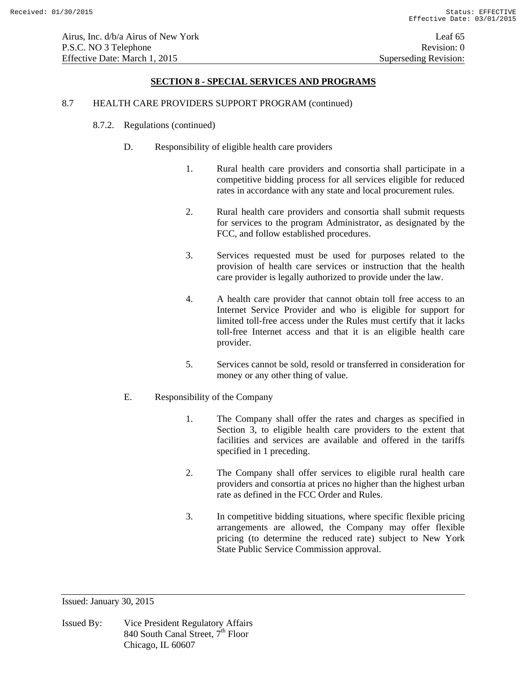Airus, Inc. d/b/a Airus of New York Leaf 65 P.S.C. NO 3 Telephone Revision: 0 Effective Date: March 1, 2015 Superseding Revision:

### **SECTION 8 - SPECIAL SERVICES AND PROGRAMS**

#### 8.7 HEALTH CARE PROVIDERS SUPPORT PROGRAM (continued)

- 8.7.2. Regulations (continued)
	- D. Responsibility of eligible health care providers
		- 1. Rural health care providers and consortia shall participate in a competitive bidding process for all services eligible for reduced rates in accordance with any state and local procurement rules.
		- 2. Rural health care providers and consortia shall submit requests for services to the program Administrator, as designated by the FCC, and follow established procedures.
		- 3. Services requested must be used for purposes related to the provision of health care services or instruction that the health care provider is legally authorized to provide under the law.
		- 4. A health care provider that cannot obtain toll free access to an Internet Service Provider and who is eligible for support for limited toll-free access under the Rules must certify that it lacks toll-free Internet access and that it is an eligible health care provider.
		- 5. Services cannot be sold, resold or transferred in consideration for money or any other thing of value.

#### E. Responsibility of the Company

- 1. The Company shall offer the rates and charges as specified in Section 3, to eligible health care providers to the extent that facilities and services are available and offered in the tariffs specified in 1 preceding.
- 2. The Company shall offer services to eligible rural health care providers and consortia at prices no higher than the highest urban rate as defined in the FCC Order and Rules.
- 3. In competitive bidding situations, where specific flexible pricing arrangements are allowed, the Company may offer flexible pricing (to determine the reduced rate) subject to New York State Public Service Commission approval.

Issued: January 30, 2015

Issued By: Vice President Regulatory Affairs 840 South Canal Street,  $7^{\text{th}}$  Floor Chicago, IL 60607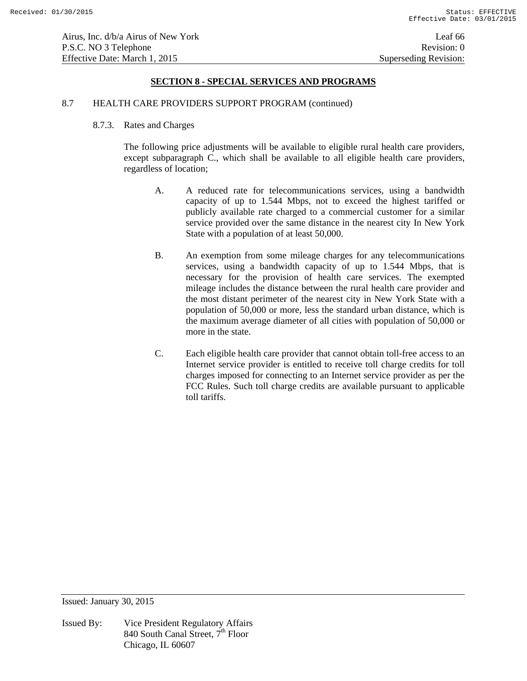#### 8.7 HEALTH CARE PROVIDERS SUPPORT PROGRAM (continued)

#### 8.7.3. Rates and Charges

The following price adjustments will be available to eligible rural health care providers, except subparagraph C., which shall be available to all eligible health care providers, regardless of location;

- A. A reduced rate for telecommunications services, using a bandwidth capacity of up to 1.544 Mbps, not to exceed the highest tariffed or publicly available rate charged to a commercial customer for a similar service provided over the same distance in the nearest city In New York State with a population of at least 50,000.
- B. An exemption from some mileage charges for any telecommunications services, using a bandwidth capacity of up to 1.544 Mbps, that is necessary for the provision of health care services. The exempted mileage includes the distance between the rural health care provider and the most distant perimeter of the nearest city in New York State with a population of 50,000 or more, less the standard urban distance, which is the maximum average diameter of all cities with population of 50,000 or more in the state.
- C. Each eligible health care provider that cannot obtain toll-free access to an Internet service provider is entitled to receive toll charge credits for toll charges imposed for connecting to an Internet service provider as per the FCC Rules. Such toll charge credits are available pursuant to applicable toll tariffs.

Issued: January 30, 2015

Issued By: Vice President Regulatory Affairs 840 South Canal Street,  $7^{\text{th}}$  Floor Chicago, IL 60607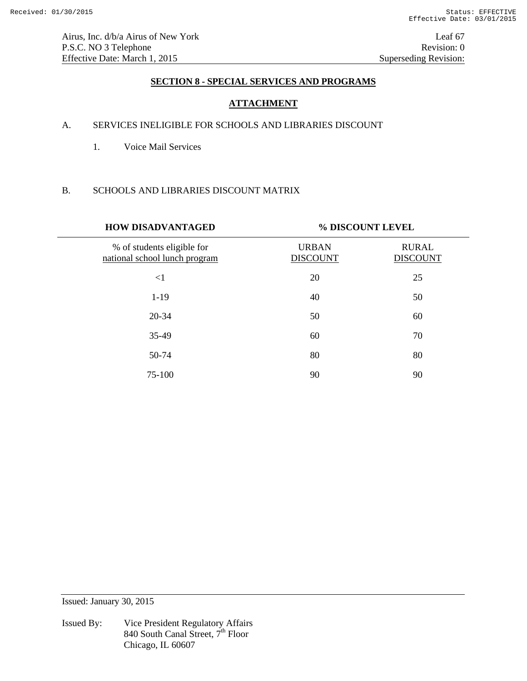Airus, Inc. d/b/a Airus of New York Leaf 67 P.S.C. NO 3 Telephone Revision: 0<br>Effective Date: March 1, 2015 Superseding Revision: 0 Effective Date: March 1, 2015

# **SECTION 8 - SPECIAL SERVICES AND PROGRAMS**

# **ATTACHMENT**

# A. SERVICES INELIGIBLE FOR SCHOOLS AND LIBRARIES DISCOUNT

1. Voice Mail Services

# B. SCHOOLS AND LIBRARIES DISCOUNT MATRIX

| <b>HOW DISADVANTAGED</b>                                    | % DISCOUNT LEVEL                |                                 |
|-------------------------------------------------------------|---------------------------------|---------------------------------|
| % of students eligible for<br>national school lunch program | <b>URBAN</b><br><b>DISCOUNT</b> | <b>RURAL</b><br><b>DISCOUNT</b> |
| $<$ 1                                                       | 20                              | 25                              |
| $1-19$                                                      | 40                              | 50                              |
| 20-34                                                       | 50                              | 60                              |
| 35-49                                                       | 60                              | 70                              |
| 50-74                                                       | 80                              | 80                              |
| 75-100                                                      | 90                              | 90                              |

Issued: January 30, 2015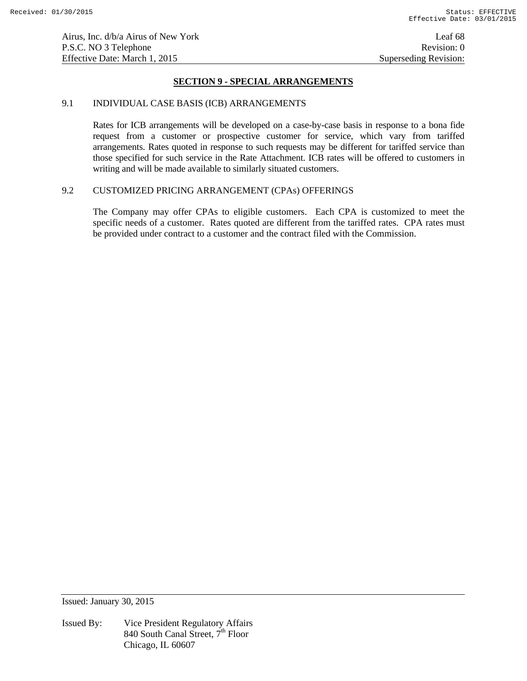# **SECTION 9 - SPECIAL ARRANGEMENTS**

#### 9.1 INDIVIDUAL CASE BASIS (ICB) ARRANGEMENTS

 Rates for ICB arrangements will be developed on a case-by-case basis in response to a bona fide request from a customer or prospective customer for service, which vary from tariffed arrangements. Rates quoted in response to such requests may be different for tariffed service than those specified for such service in the Rate Attachment. ICB rates will be offered to customers in writing and will be made available to similarly situated customers.

# 9.2 CUSTOMIZED PRICING ARRANGEMENT (CPAs) OFFERINGS

The Company may offer CPAs to eligible customers. Each CPA is customized to meet the specific needs of a customer. Rates quoted are different from the tariffed rates. CPA rates must be provided under contract to a customer and the contract filed with the Commission.

Issued: January 30, 2015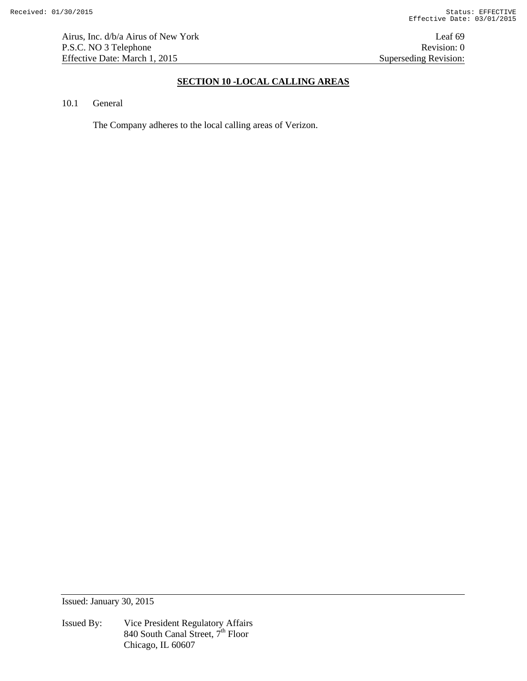# **SECTION 10 -LOCAL CALLING AREAS**

### 10.1 General

The Company adheres to the local calling areas of Verizon.

Issued: January 30, 2015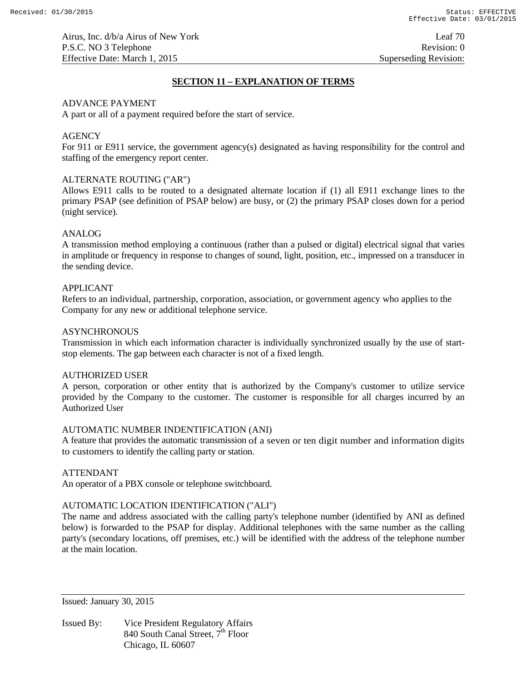# **SECTION 11 – EXPLANATION OF TERMS**

### ADVANCE PAYMENT

A part or all of a payment required before the start of service.

### **AGENCY**

For 911 or E911 service, the government agency(s) designated as having responsibility for the control and staffing of the emergency report center.

### ALTERNATE ROUTING ("AR")

Allows E911 calls to be routed to a designated alternate location if (1) all E911 exchange lines to the primary PSAP (see definition of PSAP below) are busy, or (2) the primary PSAP closes down for a period (night service).

#### ANALOG

A transmission method employing a continuous (rather than a pulsed or digital) electrical signal that varies in amplitude or frequency in response to changes of sound, light, position, etc., impressed on a transducer in the sending device.

### APPLICANT

Refers to an individual, partnership, corporation, association, or government agency who applies to the Company for any new or additional telephone service.

## **ASYNCHRONOUS**

Transmission in which each information character is individually synchronized usually by the use of startstop elements. The gap between each character is not of a fixed length.

#### AUTHORIZED USER

A person, corporation or other entity that is authorized by the Company's customer to utilize service provided by the Company to the customer. The customer is responsible for all charges incurred by an Authorized User

# AUTOMATIC NUMBER INDENTIFICATION (ANI)

A feature that provides the automatic transmission of a seven or ten digit number and information digits to customers to identify the calling party or station.

### ATTENDANT

An operator of a PBX console or telephone switchboard.

# AUTOMATIC LOCATION IDENTIFICATION ("ALI")

The name and address associated with the calling party's telephone number (identified by ANI as defined below) is forwarded to the PSAP for display. Additional telephones with the same number as the calling party's (secondary locations, off premises, etc.) will be identified with the address of the telephone number at the main location.

Issued: January 30, 2015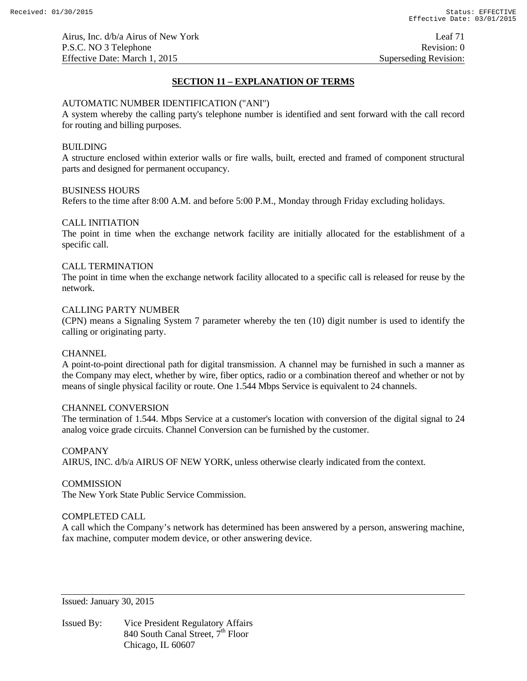# **SECTION 11 – EXPLANATION OF TERMS**

### AUTOMATIC NUMBER IDENTIFICATION ("ANI")

A system whereby the calling party's telephone number is identified and sent forward with the call record for routing and billing purposes.

# BUILDING

A structure enclosed within exterior walls or fire walls, built, erected and framed of component structural parts and designed for permanent occupancy.

### BUSINESS HOURS

Refers to the time after 8:00 A.M. and before 5:00 P.M., Monday through Friday excluding holidays.

# CALL INITIATION

The point in time when the exchange network facility are initially allocated for the establishment of a specific call.

# CALL TERMINATION

The point in time when the exchange network facility allocated to a specific call is released for reuse by the network.

# CALLING PARTY NUMBER

(CPN) means a Signaling System 7 parameter whereby the ten (10) digit number is used to identify the calling or originating party.

### **CHANNEL**

A point-to-point directional path for digital transmission. A channel may be furnished in such a manner as the Company may elect, whether by wire, fiber optics, radio or a combination thereof and whether or not by means of single physical facility or route. One 1.544 Mbps Service is equivalent to 24 channels.

### CHANNEL CONVERSION

The termination of 1.544. Mbps Service at a customer's location with conversion of the digital signal to 24 analog voice grade circuits. Channel Conversion can be furnished by the customer.

### COMPANY

AIRUS, INC. d/b/a AIRUS OF NEW YORK, unless otherwise clearly indicated from the context.

### **COMMISSION**

The New York State Public Service Commission.

# COMPLETED CALL

A call which the Company's network has determined has been answered by a person, answering machine, fax machine, computer modem device, or other answering device.

Issued: January 30, 2015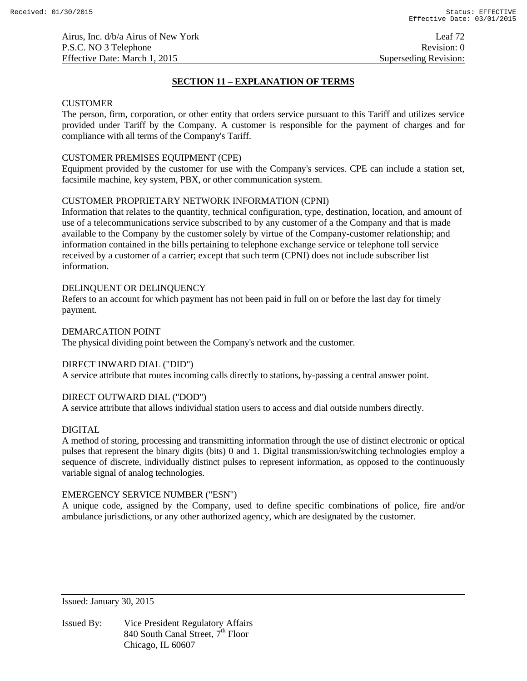# **SECTION 11 – EXPLANATION OF TERMS**

### **CUSTOMER**

The person, firm, corporation, or other entity that orders service pursuant to this Tariff and utilizes service provided under Tariff by the Company. A customer is responsible for the payment of charges and for compliance with all terms of the Company's Tariff.

# CUSTOMER PREMISES EQUIPMENT (CPE)

Equipment provided by the customer for use with the Company's services. CPE can include a station set, facsimile machine, key system, PBX, or other communication system.

# CUSTOMER PROPRIETARY NETWORK INFORMATION (CPNI)

Information that relates to the quantity, technical configuration, type, destination, location, and amount of use of a telecommunications service subscribed to by any customer of a the Company and that is made available to the Company by the customer solely by virtue of the Company-customer relationship; and information contained in the bills pertaining to telephone exchange service or telephone toll service received by a customer of a carrier; except that such term (CPNI) does not include subscriber list information.

### DELINQUENT OR DELINQUENCY

Refers to an account for which payment has not been paid in full on or before the last day for timely payment.

### DEMARCATION POINT

The physical dividing point between the Company's network and the customer.

# DIRECT INWARD DIAL ("DID")

A service attribute that routes incoming calls directly to stations, by-passing a central answer point.

# DIRECT OUTWARD DIAL ("DOD")

A service attribute that allows individual station users to access and dial outside numbers directly.

### DIGITAL

A method of storing, processing and transmitting information through the use of distinct electronic or optical pulses that represent the binary digits (bits) 0 and 1. Digital transmission/switching technologies employ a sequence of discrete, individually distinct pulses to represent information, as opposed to the continuously variable signal of analog technologies.

### EMERGENCY SERVICE NUMBER ("ESN")

A unique code, assigned by the Company, used to define specific combinations of police, fire and/or ambulance jurisdictions, or any other authorized agency, which are designated by the customer.

Issued: January 30, 2015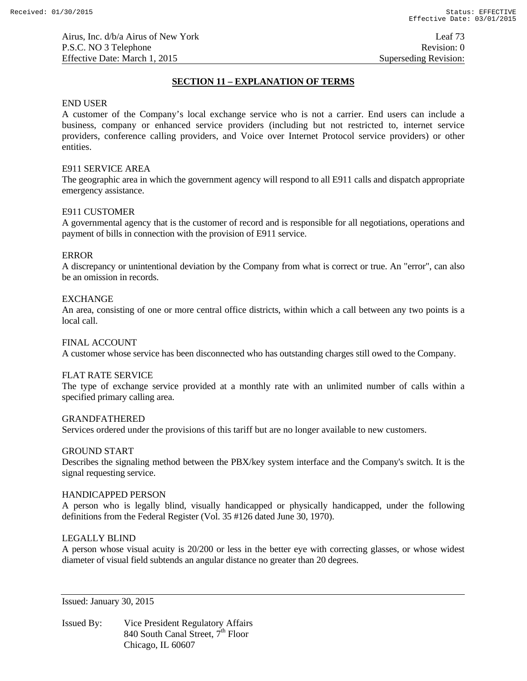# **SECTION 11 – EXPLANATION OF TERMS**

### END USER

A customer of the Company's local exchange service who is not a carrier. End users can include a business, company or enhanced service providers (including but not restricted to, internet service providers, conference calling providers, and Voice over Internet Protocol service providers) or other entities.

## E911 SERVICE AREA

The geographic area in which the government agency will respond to all E911 calls and dispatch appropriate emergency assistance.

## E911 CUSTOMER

A governmental agency that is the customer of record and is responsible for all negotiations, operations and payment of bills in connection with the provision of E911 service.

## ERROR

A discrepancy or unintentional deviation by the Company from what is correct or true. An "error", can also be an omission in records.

### EXCHANGE

An area, consisting of one or more central office districts, within which a call between any two points is a local call.

### FINAL ACCOUNT

A customer whose service has been disconnected who has outstanding charges still owed to the Company.

## FLAT RATE SERVICE

The type of exchange service provided at a monthly rate with an unlimited number of calls within a specified primary calling area.

### GRANDFATHERED

Services ordered under the provisions of this tariff but are no longer available to new customers.

### GROUND START

Describes the signaling method between the PBX/key system interface and the Company's switch. It is the signal requesting service.

### HANDICAPPED PERSON

A person who is legally blind, visually handicapped or physically handicapped, under the following definitions from the Federal Register (Vol. 35 #126 dated June 30, 1970).

## LEGALLY BLIND

A person whose visual acuity is 20/200 or less in the better eye with correcting glasses, or whose widest diameter of visual field subtends an angular distance no greater than 20 degrees.

Issued: January 30, 2015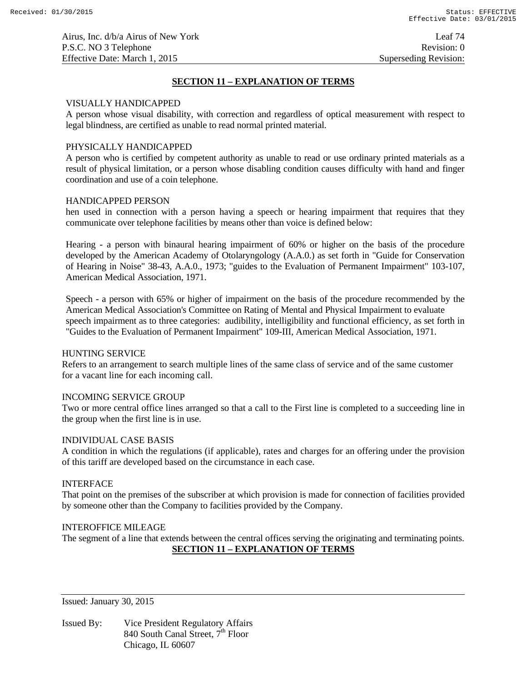Airus, Inc. d/b/a Airus of New York Leaf 74 P.S.C. NO 3 Telephone Revision: 0 Effective Date: March 1, 2015 Superseding Revision:

## **SECTION 11 – EXPLANATION OF TERMS**

### VISUALLY HANDICAPPED

A person whose visual disability, with correction and regardless of optical measurement with respect to legal blindness, are certified as unable to read normal printed material.

### PHYSICALLY HANDICAPPED

A person who is certified by competent authority as unable to read or use ordinary printed materials as a result of physical limitation, or a person whose disabling condition causes difficulty with hand and finger coordination and use of a coin telephone.

#### HANDICAPPED PERSON

hen used in connection with a person having a speech or hearing impairment that requires that they communicate over telephone facilities by means other than voice is defined below:

Hearing - a person with binaural hearing impairment of 60% or higher on the basis of the procedure developed by the American Academy of Otolaryngology (A.A.0.) as set forth in "Guide for Conservation of Hearing in Noise" 38-43, A.A.0., 1973; "guides to the Evaluation of Permanent Impairment" 103-107, American Medical Association, 1971.

Speech - a person with 65% or higher of impairment on the basis of the procedure recommended by the American Medical Association's Committee on Rating of Mental and Physical Impairment to evaluate speech impairment as to three categories: audibility, intelligibility and functional efficiency, as set forth in "Guides to the Evaluation of Permanent Impairment" 109-III, American Medical Association, 1971.

### HUNTING SERVICE

Refers to an arrangement to search multiple lines of the same class of service and of the same customer for a vacant line for each incoming call.

### INCOMING SERVICE GROUP

Two or more central office lines arranged so that a call to the First line is completed to a succeeding line in the group when the first line is in use.

### INDIVIDUAL CASE BASIS

A condition in which the regulations (if applicable), rates and charges for an offering under the provision of this tariff are developed based on the circumstance in each case.

#### INTERFACE

That point on the premises of the subscriber at which provision is made for connection of facilities provided by someone other than the Company to facilities provided by the Company.

### INTEROFFICE MILEAGE

The segment of a line that extends between the central offices serving the originating and terminating points. **SECTION 11 – EXPLANATION OF TERMS**

Issued: January 30, 2015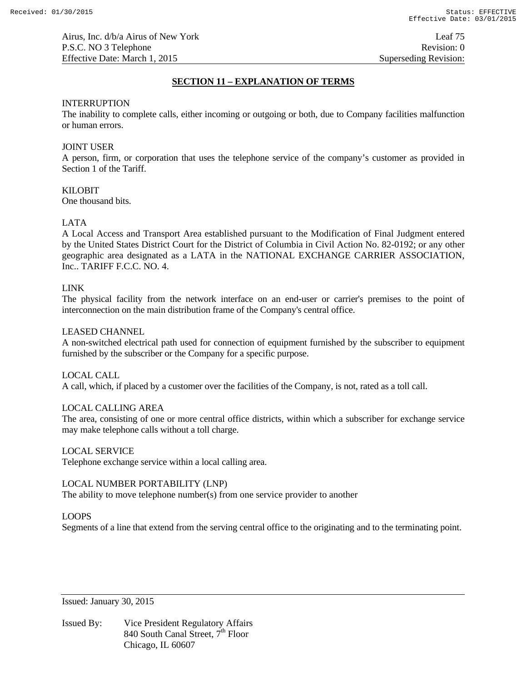Airus, Inc. d/b/a Airus of New York Leaf 75 P.S.C. NO 3 Telephone Revision: 0 Effective Date: March 1, 2015 Superseding Revision:

## **SECTION 11 – EXPLANATION OF TERMS**

### INTERRUPTION

The inability to complete calls, either incoming or outgoing or both, due to Company facilities malfunction or human errors.

## JOINT USER

A person, firm, or corporation that uses the telephone service of the company's customer as provided in Section 1 of the Tariff.

#### KILOBIT

One thousand bits.

### LATA

A Local Access and Transport Area established pursuant to the Modification of Final Judgment entered by the United States District Court for the District of Columbia in Civil Action No. 82-0192; or any other geographic area designated as a LATA in the NATIONAL EXCHANGE CARRIER ASSOCIATION, Inc.. TARIFF F.C.C. NO. 4.

#### LINK

The physical facility from the network interface on an end-user or carrier's premises to the point of interconnection on the main distribution frame of the Company's central office.

#### LEASED CHANNEL

A non-switched electrical path used for connection of equipment furnished by the subscriber to equipment furnished by the subscriber or the Company for a specific purpose.

#### LOCAL CALL

A call, which, if placed by a customer over the facilities of the Company, is not, rated as a toll call.

### LOCAL CALLING AREA

The area, consisting of one or more central office districts, within which a subscriber for exchange service may make telephone calls without a toll charge.

#### LOCAL SERVICE

Telephone exchange service within a local calling area.

### LOCAL NUMBER PORTABILITY (LNP)

The ability to move telephone number(s) from one service provider to another

### LOOPS

Segments of a line that extend from the serving central office to the originating and to the terminating point.

Issued: January 30, 2015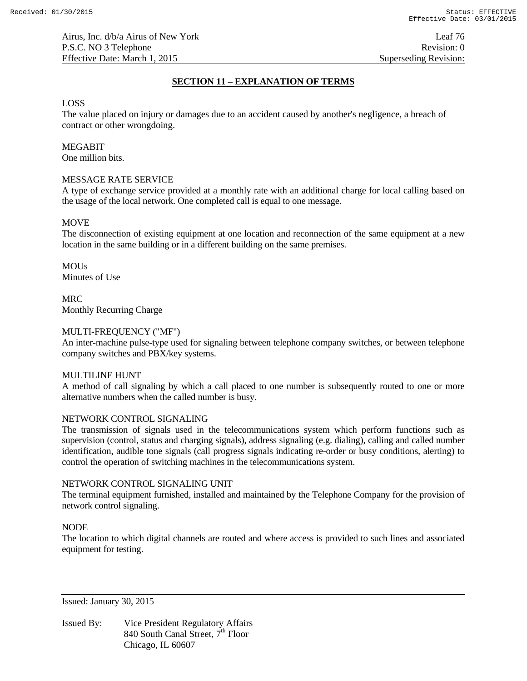# **SECTION 11 – EXPLANATION OF TERMS**

### LOSS

The value placed on injury or damages due to an accident caused by another's negligence, a breach of contract or other wrongdoing.

# MEGABIT

One million bits.

# MESSAGE RATE SERVICE

A type of exchange service provided at a monthly rate with an additional charge for local calling based on the usage of the local network. One completed call is equal to one message.

## **MOVE**

The disconnection of existing equipment at one location and reconnection of the same equipment at a new location in the same building or in a different building on the same premises.

**MOUS** Minutes of Use

MRC Monthly Recurring Charge

## MULTI-FREQUENCY ("MF")

An inter-machine pulse-type used for signaling between telephone company switches, or between telephone company switches and PBX/key systems.

### MULTILINE HUNT

A method of call signaling by which a call placed to one number is subsequently routed to one or more alternative numbers when the called number is busy.

### NETWORK CONTROL SIGNALING

The transmission of signals used in the telecommunications system which perform functions such as supervision (control, status and charging signals), address signaling (e.g. dialing), calling and called number identification, audible tone signals (call progress signals indicating re-order or busy conditions, alerting) to control the operation of switching machines in the telecommunications system.

### NETWORK CONTROL SIGNALING UNIT

The terminal equipment furnished, installed and maintained by the Telephone Company for the provision of network control signaling.

### NODE

The location to which digital channels are routed and where access is provided to such lines and associated equipment for testing.

Issued: January 30, 2015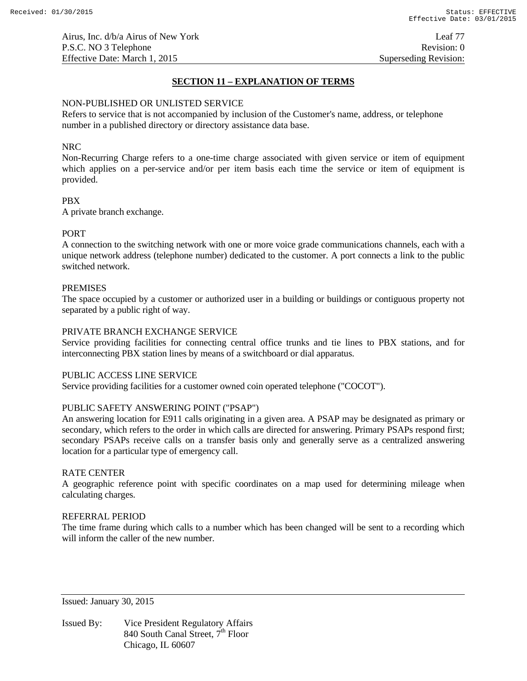# **SECTION 11 – EXPLANATION OF TERMS**

### NON-PUBLISHED OR UNLISTED SERVICE

Refers to service that is not accompanied by inclusion of the Customer's name, address, or telephone number in a published directory or directory assistance data base.

## NRC

Non-Recurring Charge refers to a one-time charge associated with given service or item of equipment which applies on a per-service and/or per item basis each time the service or item of equipment is provided.

## PBX

A private branch exchange.

# PORT

A connection to the switching network with one or more voice grade communications channels, each with a unique network address (telephone number) dedicated to the customer. A port connects a link to the public switched network.

### PREMISES

The space occupied by a customer or authorized user in a building or buildings or contiguous property not separated by a public right of way.

### PRIVATE BRANCH EXCHANGE SERVICE

Service providing facilities for connecting central office trunks and tie lines to PBX stations, and for interconnecting PBX station lines by means of a switchboard or dial apparatus.

## PUBLIC ACCESS LINE SERVICE

Service providing facilities for a customer owned coin operated telephone ("COCOT").

## PUBLIC SAFETY ANSWERING POINT ("PSAP")

An answering location for E911 calls originating in a given area. A PSAP may be designated as primary or secondary, which refers to the order in which calls are directed for answering. Primary PSAPs respond first; secondary PSAPs receive calls on a transfer basis only and generally serve as a centralized answering location for a particular type of emergency call.

### RATE CENTER

A geographic reference point with specific coordinates on a map used for determining mileage when calculating charges.

## REFERRAL PERIOD

The time frame during which calls to a number which has been changed will be sent to a recording which will inform the caller of the new number.

Issued: January 30, 2015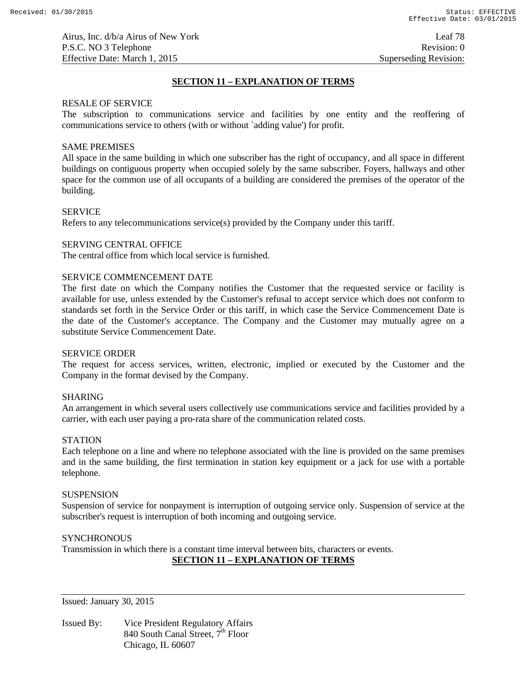Airus, Inc. d/b/a Airus of New York Leaf 78 P.S.C. NO 3 Telephone Revision: 0 Effective Date: March 1, 2015 Superseding Revision:

## **SECTION 11 – EXPLANATION OF TERMS**

#### RESALE OF SERVICE

The subscription to communications service and facilities by one entity and the reoffering of communications service to others (with or without `adding value') for profit.

### SAME PREMISES

All space in the same building in which one subscriber has the right of occupancy, and all space in different buildings on contiguous property when occupied solely by the same subscriber. Foyers, hallways and other space for the common use of all occupants of a building are considered the premises of the operator of the building.

### SERVICE

Refers to any telecommunications service(s) provided by the Company under this tariff.

#### SERVING CENTRAL OFFICE

The central office from which local service is furnished.

#### SERVICE COMMENCEMENT DATE

The first date on which the Company notifies the Customer that the requested service or facility is available for use, unless extended by the Customer's refusal to accept service which does not conform to standards set forth in the Service Order or this tariff, in which case the Service Commencement Date is the date of the Customer's acceptance. The Company and the Customer may mutually agree on a substitute Service Commencement Date.

#### SERVICE ORDER

The request for access services, written, electronic, implied or executed by the Customer and the Company in the format devised by the Company.

### SHARING

An arrangement in which several users collectively use communications service and facilities provided by a carrier, with each user paying a pro-rata share of the communication related costs.

### **STATION**

Each telephone on a line and where no telephone associated with the line is provided on the same premises and in the same building, the first termination in station key equipment or a jack for use with a portable telephone.

#### **SUSPENSION**

Suspension of service for nonpayment is interruption of outgoing service only. Suspension of service at the subscriber's request is interruption of both incoming and outgoing service.

## **SYNCHRONOUS**

Transmission in which there is a constant time interval between bits, characters or events.

# **SECTION 11 – EXPLANATION OF TERMS**

Issued: January 30, 2015